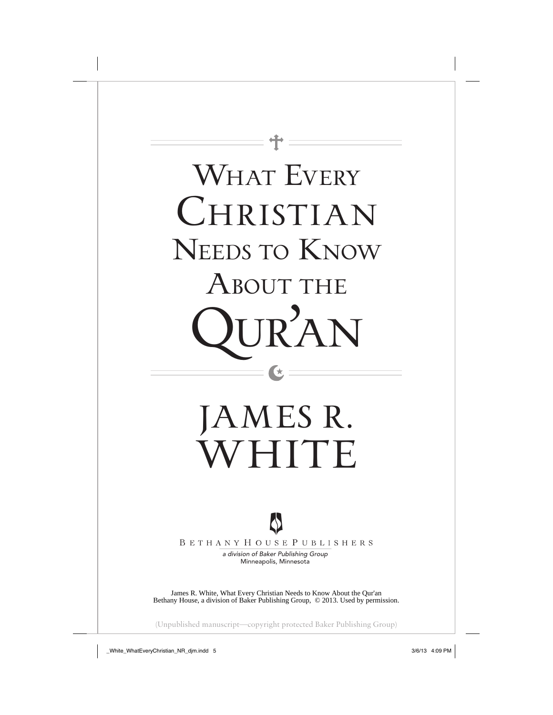

James R. White, What Every Christian Needs to Know About the Qur'an Bethany House, a division of Baker Publishing Group, © 2013. Used by permission.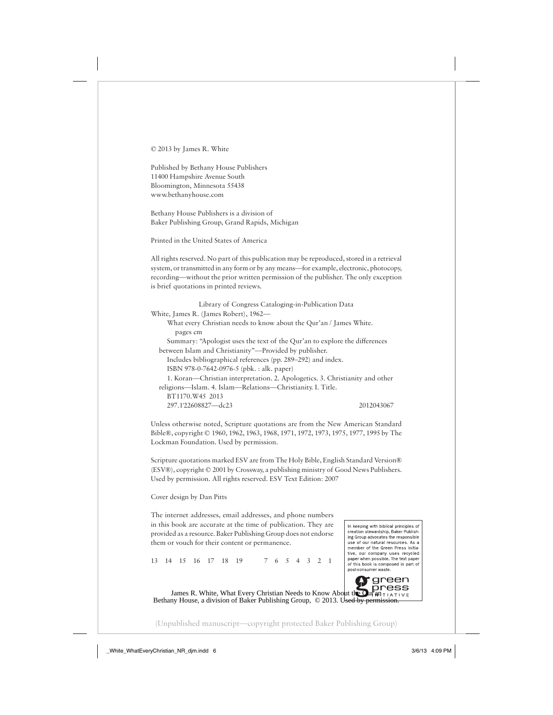© 2013 by James R. White

Published by Bethany House Publishers 11400 Hampshire Avenue South Bloomington, Minnesota 55438 www.bethanyhouse.com

Bethany House Publishers is a division of Baker Publishing Group, Grand Rapids, Michigan

Printed in the United States of America

All rights reserved. No part of this publication may be reproduced, stored in a retrieval system, or transmitted in any form or by any means—for example, electronic, photocopy, recording—without the prior written permission of the publisher. The only exception is brief quotations in printed reviews.

| Library of Congress Cataloging-in-Publication Data                           |
|------------------------------------------------------------------------------|
| White, James R. (James Robert), 1962—                                        |
| What every Christian needs to know about the Qur'an / James White.           |
| pages cm                                                                     |
| Summary: "Apologist uses the text of the Qur'an to explore the differences   |
| between Islam and Christianity"-Provided by publisher.                       |
| Includes bibliographical references (pp. 289–292) and index.                 |
| ISBN 978-0-7642-0976-5 (pbk.: alk. paper)                                    |
| 1. Koran—Christian interpretation. 2. Apologetics. 3. Christianity and other |
| religions—Islam. 4. Islam—Relations—Christianity. I. Title.                  |
| BT1170.W45 2013                                                              |
| 297.1'22608827-dc23<br>20120430                                              |

Unless otherwise noted, Scripture quotations are from the New American Standard Bible®, copyright © 1960, 1962, 1963, 1968, 1971, 1972, 1973, 1975, 1977, 1995 by The Lockman Foundation. Used by permission.

Scripture quotations marked ESV are from The Holy Bible, English Standard Version® (ESV®), copyright © 2001 by Crossway, a publishing ministry of Good News Publishers. Used by permission. All rights reserved. ESV Text Edition: 2007

Cover design by Dan Pitts

The internet addresses, email addresses, and phone numbers in this book are accurate at the time of publication. They are provided as a resource. Baker Publishing Group does not endorse them or vouch for their content or permanence.

13 14 15 16 17 18 19 7 6 5 4 3 2 1

In keeping with biblical principles of creation stewardship. Baker Publishing Group advocates the responsible use of our natural resources. As a member of the Green Press Initiative, our company uses recycled paper when possible. The text paper of this book is composed in part of post-consumer waste.

green

James R. White, What Every Christian Needs to Know About the Qur'an  $\frac{1}{11}$ Bethany House, a division of Baker Publishing Group, © 2013. Used by permission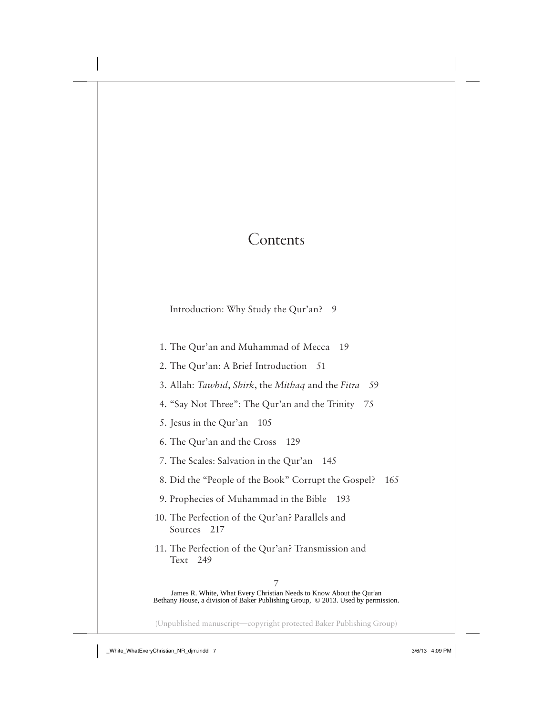# Contents

Introduction: Why Study the Qur'an? 9

- 1. The Qur'an and Muhammad of Mecca 19
- 2. The Qur'an: A Brief Introduction 51
- 3. Allah: *Tawhid*, *Shirk*, the *Mithaq* and the *Fitra* 59
- 4. "Say Not Three": The Qur'an and the Trinity 75
- 5. Jesus in the Qur'an 105
- 6. The Qur'an and the Cross 129
- 7. The Scales: Salvation in the Qur'an 145
- 8. Did the "People of the Book" Corrupt the Gospel? 165
- 9. Prophecies of Muhammad in the Bible 193
- 10. The Perfection of the Qur'an? Parallels and Sources 217
- 11. The Perfection of the Qur'an? Transmission and Text 249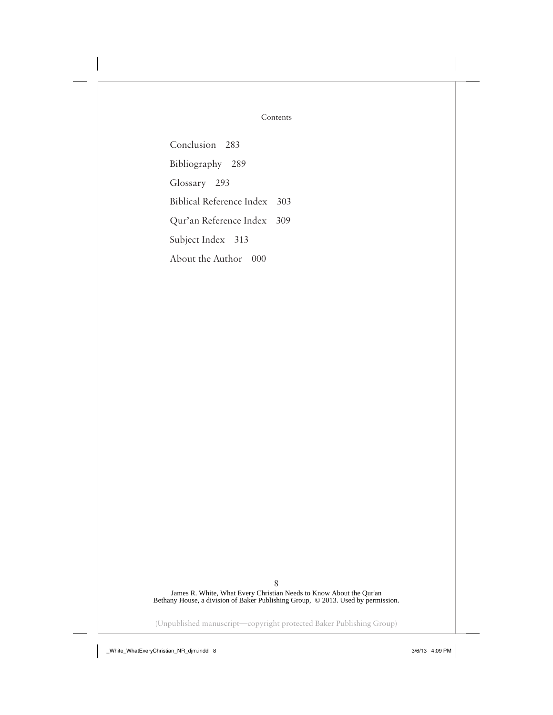#### Contents

 Conclusion 283 Bibliography 289 Glossary 293 Biblical Reference Index 303 Qur'an Reference Index 309 Subject Index 313 About the Author 000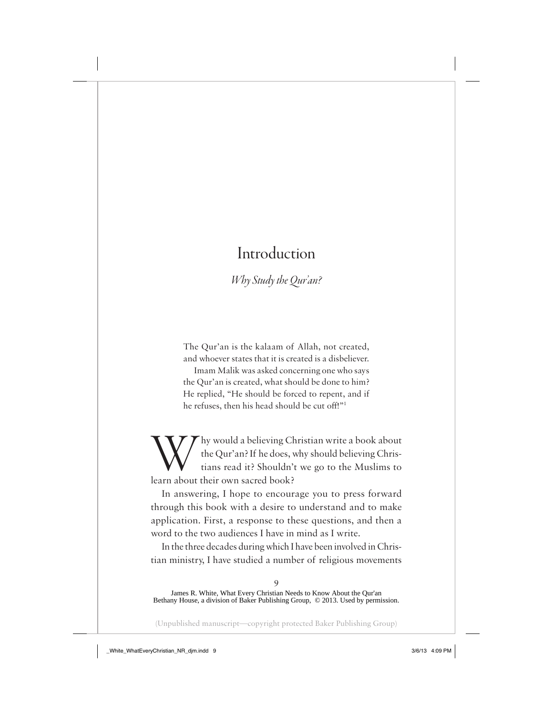Why Study the Qur'an?

The Qur'an is the kalaam of Allah, not created, and whoever states that it is created is a disbeliever.

 Imam Malik was asked concerning one who says the Qur'an is created, what should be done to him? He replied, "He should be forced to repent, and if he refuses, then his head should be cut off!"<sup>1</sup>

W hy would a believing Christian write a book about the Qur'an? If he does, why should believing Christians read it? Shouldn't we go to the Muslims to learn about their own sacred book?

In answering, I hope to encourage you to press forward through this book with a desire to understand and to make application. First, a response to these questions, and then a word to the two audiences I have in mind as I write.

In the three decades during which I have been involved in Christian ministry, I have studied a number of religious movements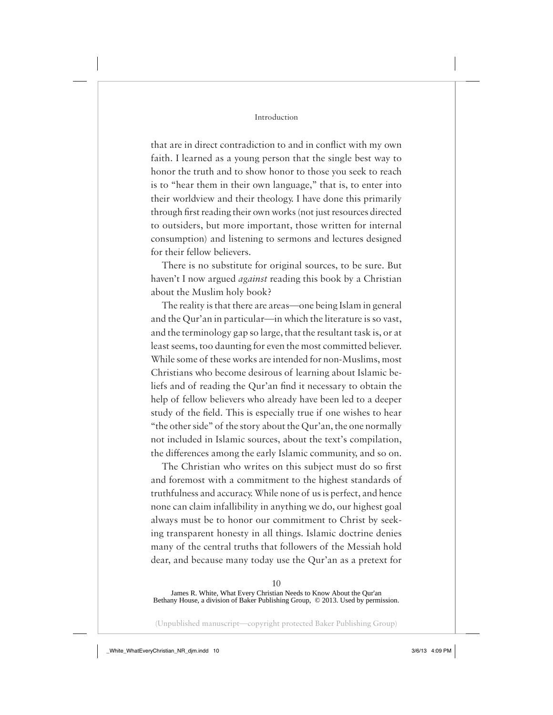that are in direct contradiction to and in conflict with my own faith. I learned as a young person that the single best way to honor the truth and to show honor to those you seek to reach is to "hear them in their own language," that is, to enter into their worldview and their theology. I have done this primarily through first reading their own works (not just resources directed to outsiders, but more important, those written for internal consumption) and listening to sermons and lectures designed for their fellow believers.

There is no substitute for original sources, to be sure. But haven't I now argued *against* reading this book by a Christian about the Muslim holy book?

The reality is that there are areas—one being Islam in general and the Qur'an in particular—in which the literature is so vast, and the terminology gap so large, that the resultant task is, or at least seems, too daunting for even the most committed believer. While some of these works are intended for non-Muslims, most Christians who become desirous of learning about Islamic beliefs and of reading the Qur'an find it necessary to obtain the help of fellow believers who already have been led to a deeper study of the field. This is especially true if one wishes to hear "the other side" of the story about the Qur'an, the one normally not included in Islamic sources, about the text's compilation, the differences among the early Islamic community, and so on.

The Christian who writes on this subject must do so first and foremost with a commitment to the highest standards of truthfulness and accuracy. While none of us is perfect, and hence none can claim infallibility in anything we do, our highest goal always must be to honor our commitment to Christ by seeking transparent honesty in all things. Islamic doctrine denies many of the central truths that followers of the Messiah hold dear, and because many today use the Qur'an as a pretext for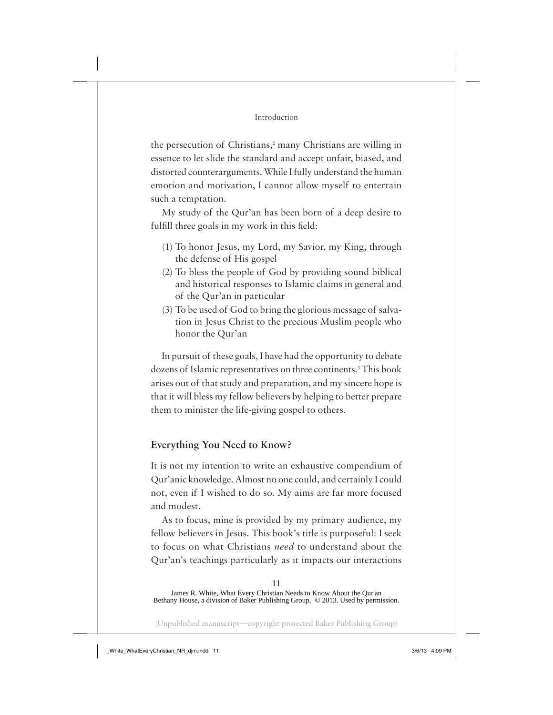the persecution of Christians,<sup>2</sup> many Christians are willing in essence to let slide the standard and accept unfair, biased, and distorted counterarguments. While I fully understand the human emotion and motivation, I cannot allow myself to entertain such a temptation.

My study of the Qur'an has been born of a deep desire to fulfill three goals in my work in this field:

- (1) To honor Jesus, my Lord, my Savior, my King, through the defense of His gospel
- (2) To bless the people of God by providing sound biblical and historical responses to Islamic claims in general and of the Qur'an in particular
- (3) To be used of God to bring the glorious message of salvation in Jesus Christ to the precious Muslim people who honor the Qur'an

In pursuit of these goals, I have had the opportunity to debate dozens of Islamic representatives on three continents.<sup>3</sup> This book arises out of that study and preparation, and my sincere hope is that it will bless my fellow believers by helping to better prepare them to minister the life-giving gospel to others.

### **Everything You Need to Know?**

It is not my intention to write an exhaustive compendium of Qur'anic knowledge. Almost no one could, and certainly I could not, even if I wished to do so. My aims are far more focused and modest.

As to focus, mine is provided by my primary audience, my fellow believers in Jesus. This book's title is purposeful: I seek to focus on what Christians *need* to understand about the Qur'an's teachings particularly as it impacts our interactions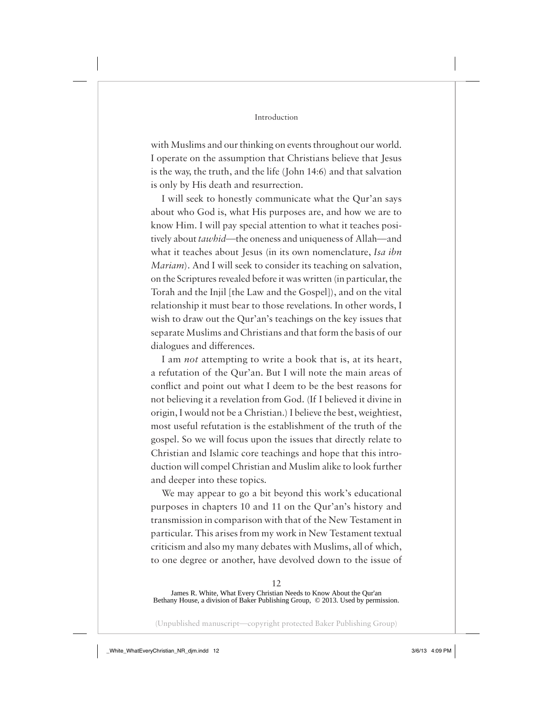with Muslims and our thinking on events throughout our world. I operate on the assumption that Christians believe that Jesus is the way, the truth, and the life (John 14:6) and that salvation is only by His death and resurrection.

I will seek to honestly communicate what the Qur'an says about who God is, what His purposes are, and how we are to know Him. I will pay special attention to what it teaches positively about *tawhid*—the oneness and uniqueness of Allah—and what it teaches about Jesus (in its own nomenclature, *Isa ibn Mariam*). And I will seek to consider its teaching on salvation, on the Scriptures revealed before it was written (in particular, the Torah and the Injil [the Law and the Gospel]), and on the vital relationship it must bear to those revelations. In other words, I wish to draw out the Qur'an's teachings on the key issues that separate Muslims and Christians and that form the basis of our dialogues and differences.

I am *not* attempting to write a book that is, at its heart, a refutation of the Qur'an. But I will note the main areas of conflict and point out what I deem to be the best reasons for not believing it a revelation from God. (If I believed it divine in origin, I would not be a Christian.) I believe the best, weightiest, most useful refutation is the establishment of the truth of the gospel. So we will focus upon the issues that directly relate to Christian and Islamic core teachings and hope that this introduction will compel Christian and Muslim alike to look further and deeper into these topics.

We may appear to go a bit beyond this work's educational purposes in chapters 10 and 11 on the Qur'an's history and transmission in comparison with that of the New Testament in particular. This arises from my work in New Testament textual criticism and also my many debates with Muslims, all of which, to one degree or another, have devolved down to the issue of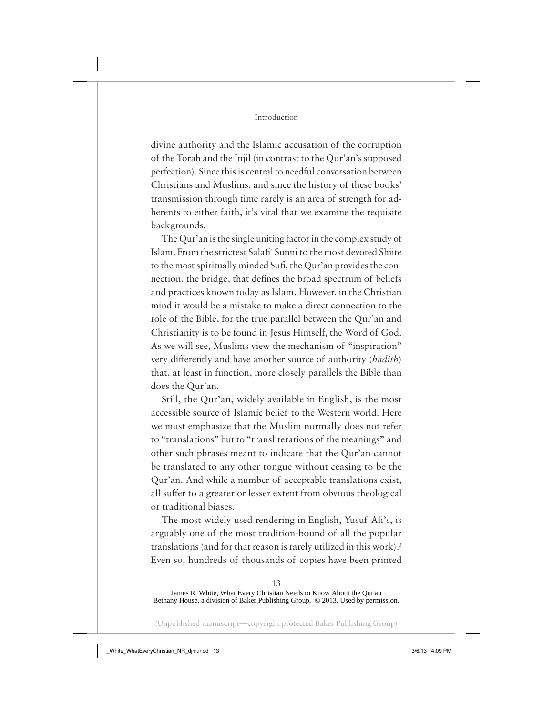divine authority and the Islamic accusation of the corruption of the Torah and the Injil (in contrast to the Qur'an's supposed perfection). Since this is central to needful conversation between Christians and Muslims, and since the history of these books' transmission through time rarely is an area of strength for adherents to either faith, it's vital that we examine the requisite backgrounds.

The Qur'an is the single uniting factor in the complex study of Islam. From the strictest Salafi<sup>4</sup> Sunni to the most devoted Shiite to the most spiritually minded Sufi, the Qur'an provides the connection, the bridge, that defines the broad spectrum of beliefs and practices known today as Islam. However, in the Christian mind it would be a mistake to make a direct connection to the role of the Bible, for the true parallel between the Qur'an and Christianity is to be found in Jesus Himself, the Word of God. As we will see, Muslims view the mechanism of "inspiration" very differently and have another source of authority (*hadith*) that, at least in function, more closely parallels the Bible than does the Qur'an.

Still, the Qur'an, widely available in English, is the most accessible source of Islamic belief to the Western world. Here we must emphasize that the Muslim normally does not refer to "translations" but to "transliterations of the meanings" and other such phrases meant to indicate that the Qur'an cannot be translated to any other tongue without ceasing to be the Qur'an. And while a number of acceptable translations exist, all suffer to a greater or lesser extent from obvious theological or traditional biases.

The most widely used rendering in English, Yusuf Ali's, is arguably one of the most tradition-bound of all the popular translations (and for that reason is rarely utilized in this work).<sup>5</sup> Even so, hundreds of thousands of copies have been printed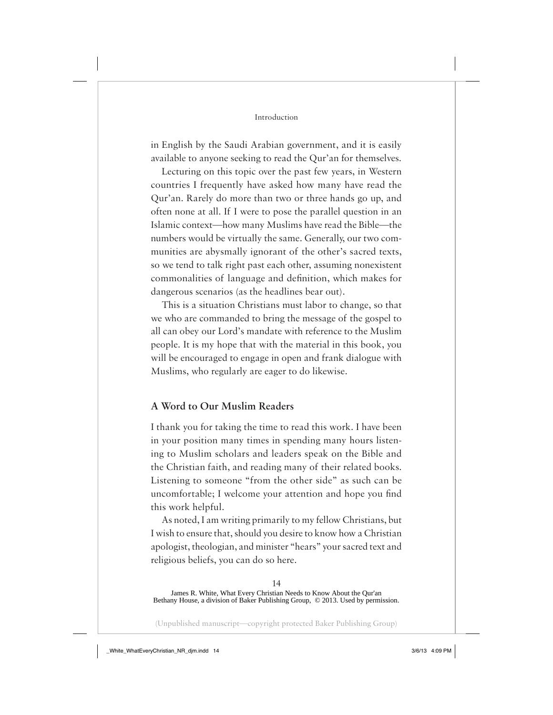in English by the Saudi Arabian government, and it is easily available to anyone seeking to read the Qur'an for themselves.

Lecturing on this topic over the past few years, in Western countries I frequently have asked how many have read the Qur'an. Rarely do more than two or three hands go up, and often none at all. If I were to pose the parallel question in an Islamic context—how many Muslims have read the Bible—the numbers would be virtually the same. Generally, our two communities are abysmally ignorant of the other's sacred texts, so we tend to talk right past each other, assuming nonexistent commonalities of language and definition, which makes for dangerous scenarios (as the headlines bear out).

This is a situation Christians must labor to change, so that we who are commanded to bring the message of the gospel to all can obey our Lord's mandate with reference to the Muslim people. It is my hope that with the material in this book, you will be encouraged to engage in open and frank dialogue with Muslims, who regularly are eager to do likewise.

### **A Word to Our Muslim Readers**

I thank you for taking the time to read this work. I have been in your position many times in spending many hours listening to Muslim scholars and leaders speak on the Bible and the Christian faith, and reading many of their related books. Listening to someone "from the other side" as such can be uncomfortable; I welcome your attention and hope you find this work helpful.

As noted, I am writing primarily to my fellow Christians, but I wish to ensure that, should you desire to know how a Christian apologist, theologian, and minister "hears" your sacred text and religious beliefs, you can do so here.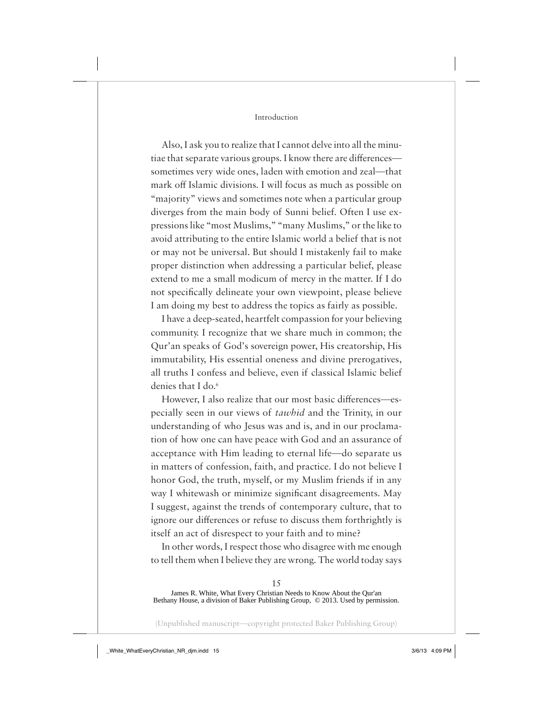Also, I ask you to realize that I cannot delve into all the minutiae that separate various groups. I know there are differences sometimes very wide ones, laden with emotion and zeal—that mark off Islamic divisions. I will focus as much as possible on "majority" views and sometimes note when a particular group diverges from the main body of Sunni belief. Often I use expressions like "most Muslims," "many Muslims," or the like to avoid attributing to the entire Islamic world a belief that is not or may not be universal. But should I mistakenly fail to make proper distinction when addressing a particular belief, please extend to me a small modicum of mercy in the matter. If I do not specifically delineate your own viewpoint, please believe I am doing my best to address the topics as fairly as possible.

I have a deep-seated, heartfelt compassion for your believing community. I recognize that we share much in common; the Qur'an speaks of God's sovereign power, His creatorship, His immutability, His essential oneness and divine prerogatives, all truths I confess and believe, even if classical Islamic belief denies that I do.<sup>6</sup>

However, I also realize that our most basic differences—especially seen in our views of *tawhid* and the Trinity, in our understanding of who Jesus was and is, and in our proclamation of how one can have peace with God and an assurance of acceptance with Him leading to eternal life—do separate us in matters of confession, faith, and practice. I do not believe I honor God, the truth, myself, or my Muslim friends if in any way I whitewash or minimize significant disagreements. May I suggest, against the trends of contemporary culture, that to ignore our differences or refuse to discuss them forthrightly is itself an act of disrespect to your faith and to mine?

In other words, I respect those who disagree with me enough to tell them when I believe they are wrong. The world today says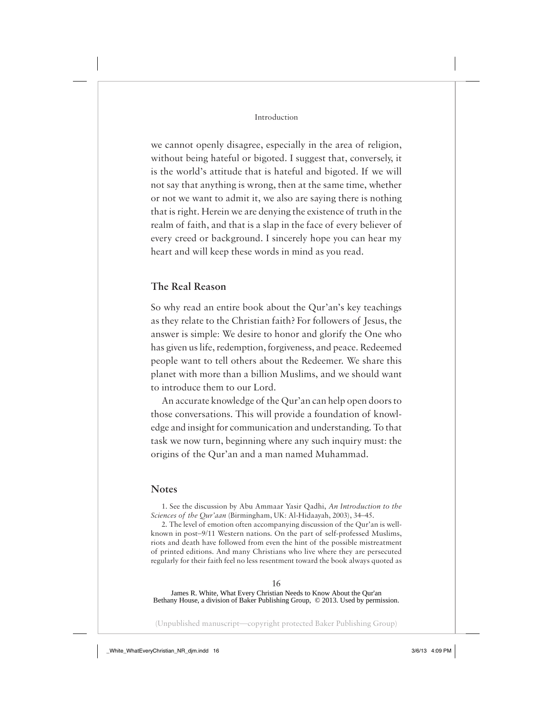we cannot openly disagree, especially in the area of religion, without being hateful or bigoted. I suggest that, conversely, it is the world's attitude that is hateful and bigoted. If we will not say that anything is wrong, then at the same time, whether or not we want to admit it, we also are saying there is nothing that is right. Herein we are denying the existence of truth in the realm of faith, and that is a slap in the face of every believer of every creed or background. I sincerely hope you can hear my heart and will keep these words in mind as you read.

### **The Real Reason**

So why read an entire book about the Qur'an's key teachings as they relate to the Christian faith? For followers of Jesus, the answer is simple: We desire to honor and glorify the One who has given us life, redemption, forgiveness, and peace. Redeemed people want to tell others about the Redeemer. We share this planet with more than a billion Muslims, and we should want to introduce them to our Lord.

An accurate knowledge of the Qur'an can help open doors to those conversations. This will provide a foundation of knowledge and insight for communication and understanding. To that task we now turn, beginning where any such inquiry must: the origins of the Qur'an and a man named Muhammad.

### **Notes**

1. See the discussion by Abu Ammaar Yasir Qadhi, *An Introduction to the Sciences of the Qur'aan* (Birmingham, UK: Al-Hidaayah, 2003), 34–45.

2. The level of emotion often accompanying discussion of the Qur'an is wellknown in post–9/11 Western nations. On the part of self-professed Muslims, riots and death have followed from even the hint of the possible mistreatment of printed editions. And many Christians who live where they are persecuted regularly for their faith feel no less resentment toward the book always quoted as

James R. White, What Every Christian Needs to Know About the Qur'an Bethany House, a division of Baker Publishing Group, © 2013. Used by permission.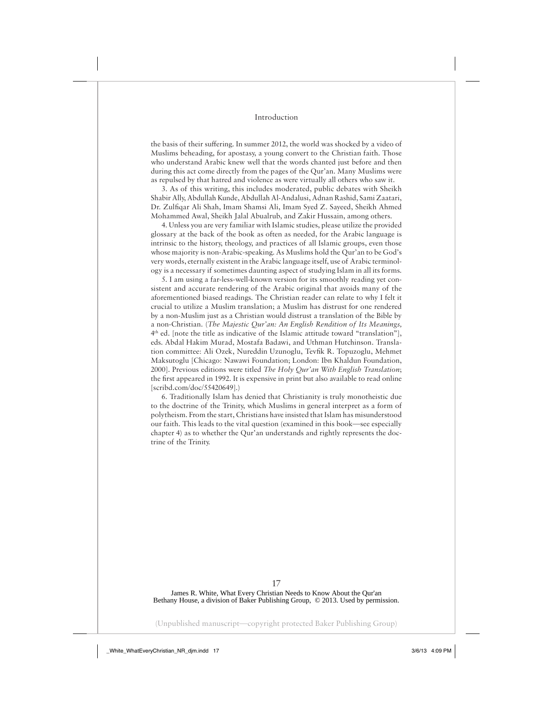the basis of their suffering. In summer 2012, the world was shocked by a video of Muslims beheading, for apostasy, a young convert to the Christian faith. Those who understand Arabic knew well that the words chanted just before and then during this act come directly from the pages of the Qur'an. Many Muslims were as repulsed by that hatred and violence as were virtually all others who saw it.

3. As of this writing, this includes moderated, public debates with Sheikh Shabir Ally, Abdullah Kunde, Abdullah Al-Andalusi, Adnan Rashid, Sami Zaatari, Dr. Zulfiqar Ali Shah, Imam Shamsi Ali, Imam Syed Z. Sayeed, Sheikh Ahmed Mohammed Awal, Sheikh Jalal Abualrub, and Zakir Hussain, among others.

4. Unless you are very familiar with Islamic studies, please utilize the provided glossary at the back of the book as often as needed, for the Arabic language is intrinsic to the history, theology, and practices of all Islamic groups, even those whose majority is non-Arabic-speaking. As Muslims hold the Qur'an to be God's very words, eternally existent in the Arabic language itself, use of Arabic terminology is a necessary if sometimes daunting aspect of studying Islam in all its forms.

5. I am using a far-less-well-known version for its smoothly reading yet consistent and accurate rendering of the Arabic original that avoids many of the aforementioned biased readings. The Christian reader can relate to why I felt it crucial to utilize a Muslim translation; a Muslim has distrust for one rendered by a non-Muslim just as a Christian would distrust a translation of the Bible by a non-Christian. (*The Majestic Qur'an: An English Rendition of Its Meanings,*  4 th ed. [note the title as indicative of the Islamic attitude toward "translation"], eds. Abdal Hakim Murad, Mostafa Badawi, and Uthman Hutchinson. Translation committee: Ali Ozek, Nureddin Uzunoglu, Tevfik R. Topuzoglu, Mehmet Maksutoglu [Chicago: Nawawi Foundation; London: Ibn Khaldun Foundation, 2000]. Previous editions were titled *The Holy Qur'an With English Translation*; the first appeared in 1992. It is expensive in print but also available to read online [scribd.com/doc/55420649].)

6. Traditionally Islam has denied that Christianity is truly monotheistic due to the doctrine of the Trinity, which Muslims in general interpret as a form of polytheism. From the start, Christians have insisted that Islam has misunderstood our faith. This leads to the vital question (examined in this book—see especially chapter 4) as to whether the Qur'an understands and rightly represents the doctrine of the Trinity.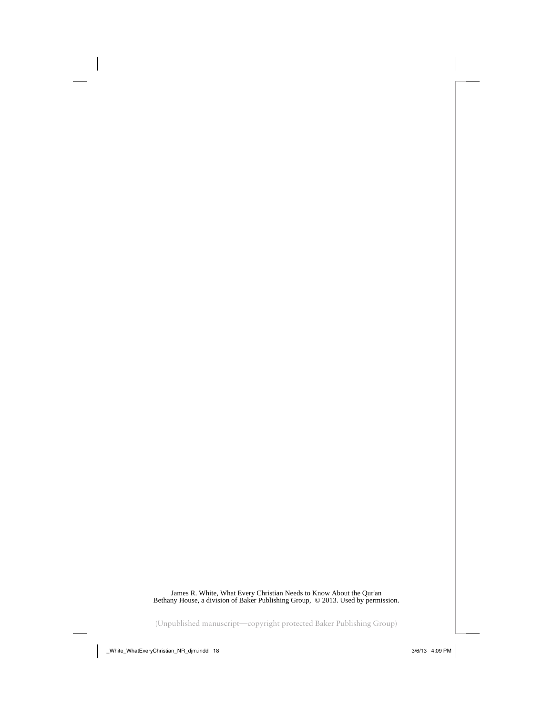James R. White, What Every Christian Needs to Know About the Qur'an Bethany House, a division of Baker Publishing Group, © 2013. Used by permission.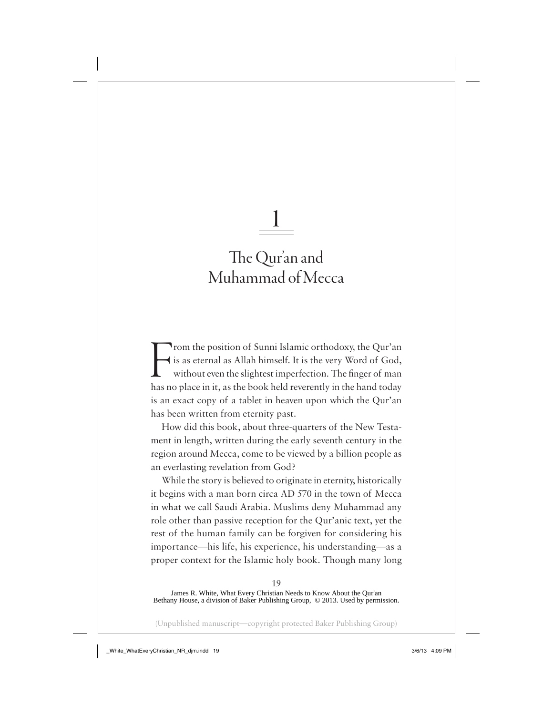The Qur'an and Muhammad of Mecca

1

F rom the position of Sunni Islamic orthodoxy, the Qur'an  $\blacktriangleleft$  is as eternal as Allah himself. It is the very Word of God, without even the slightest imperfection. The finger of man has no place in it, as the book held reverently in the hand today is an exact copy of a tablet in heaven upon which the Qur'an has been written from eternity past.

How did this book, about three-quarters of the New Testament in length, written during the early seventh century in the region around Mecca, come to be viewed by a billion people as an everlasting revelation from God?

While the story is believed to originate in eternity, historically it begins with a man born circa AD 570 in the town of Mecca in what we call Saudi Arabia. Muslims deny Muhammad any role other than passive reception for the Qur'anic text, yet the rest of the human family can be forgiven for considering his importance—his life, his experience, his understanding—as a proper context for the Islamic holy book. Though many long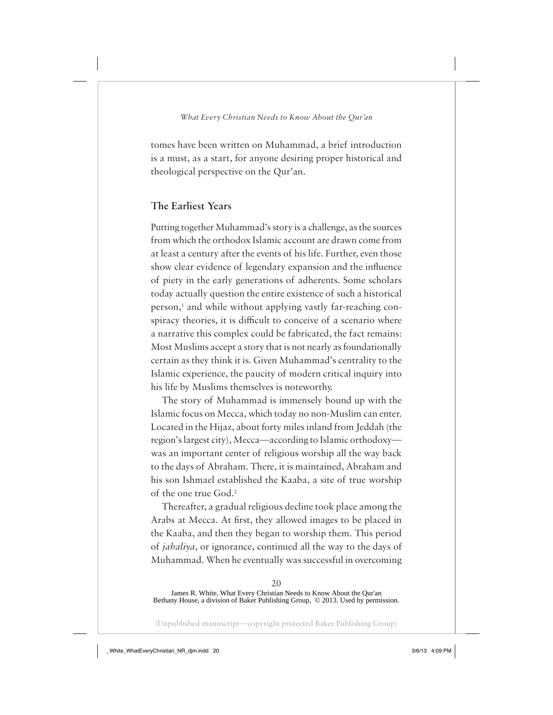tomes have been written on Muhammad, a brief introduction is a must, as a start, for anyone desiring proper historical and theological perspective on the Qur'an.

# **The Earliest Years**

Putting together Muhammad's story is a challenge, as the sources from which the orthodox Islamic account are drawn come from at least a century after the events of his life. Further, even those show clear evidence of legendary expansion and the influence of piety in the early generations of adherents. Some scholars today actually question the entire existence of such a historical person,<sup>1</sup> and while without applying vastly far-reaching conspiracy theories, it is difficult to conceive of a scenario where a narrative this complex could be fabricated, the fact remains: Most Muslims accept a story that is not nearly as foundationally certain as they think it is. Given Muhammad's centrality to the Islamic experience, the paucity of modern critical inquiry into his life by Muslims themselves is noteworthy.

The story of Muhammad is immensely bound up with the Islamic focus on Mecca, which today no non-Muslim can enter. Located in the Hijaz, about forty miles inland from Jeddah (the region's largest city), Mecca—according to Islamic orthodoxy was an important center of religious worship all the way back to the days of Abraham. There, it is maintained, Abraham and his son Ishmael established the Kaaba, a site of true worship of the one true God.<sup>2</sup>

Thereafter, a gradual religious decline took place among the Arabs at Mecca. At first, they allowed images to be placed in the Kaaba, and then they began to worship them. This period of *jahaliya*, or ignorance, continued all the way to the days of Muhammad. When he eventually was successful in overcoming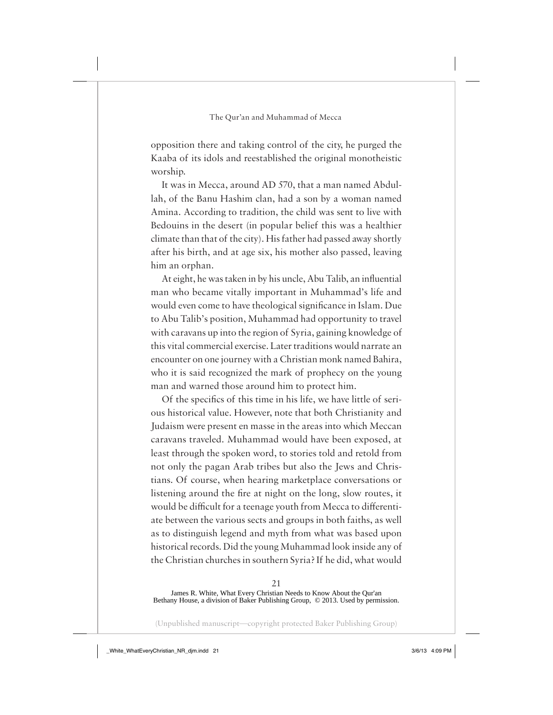opposition there and taking control of the city, he purged the Kaaba of its idols and reestablished the original monotheistic worship.

It was in Mecca, around AD 570, that a man named Abdullah, of the Banu Hashim clan, had a son by a woman named Amina. According to tradition, the child was sent to live with Bedouins in the desert (in popular belief this was a healthier climate than that of the city). His father had passed away shortly after his birth, and at age six, his mother also passed, leaving him an orphan.

At eight, he was taken in by his uncle, Abu Talib, an influential man who became vitally important in Muhammad's life and would even come to have theological significance in Islam. Due to Abu Talib's position, Muhammad had opportunity to travel with caravans up into the region of Syria, gaining knowledge of this vital commercial exercise. Later traditions would narrate an encounter on one journey with a Christian monk named Bahira, who it is said recognized the mark of prophecy on the young man and warned those around him to protect him.

Of the specifics of this time in his life, we have little of serious historical value. However, note that both Christianity and Judaism were present en masse in the areas into which Meccan caravans traveled. Muhammad would have been exposed, at least through the spoken word, to stories told and retold from not only the pagan Arab tribes but also the Jews and Christians. Of course, when hearing marketplace conversations or listening around the fire at night on the long, slow routes, it would be difficult for a teenage youth from Mecca to differentiate between the various sects and groups in both faiths, as well as to distinguish legend and myth from what was based upon historical records. Did the young Muhammad look inside any of the Christian churches in southern Syria? If he did, what would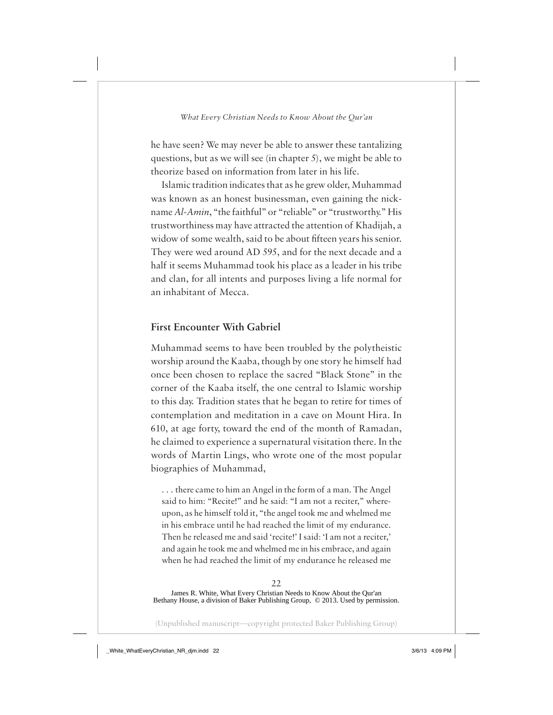he have seen? We may never be able to answer these tantalizing questions, but as we will see (in chapter 5), we might be able to theorize based on information from later in his life.

Islamic tradition indicates that as he grew older, Muhammad was known as an honest businessman, even gaining the nickname *Al-Amin*, "the faithful" or "reliable" or "trustworthy." His trustworthiness may have attracted the attention of Khadijah, a widow of some wealth, said to be about fifteen years his senior. They were wed around AD 595, and for the next decade and a half it seems Muhammad took his place as a leader in his tribe and clan, for all intents and purposes living a life normal for an inhabitant of Mecca.

# **First Encounter With Gabriel**

Muhammad seems to have been troubled by the polytheistic worship around the Kaaba, though by one story he himself had once been chosen to replace the sacred "Black Stone" in the corner of the Kaaba itself, the one central to Islamic worship to this day. Tradition states that he began to retire for times of contemplation and meditation in a cave on Mount Hira. In 610, at age forty, toward the end of the month of Ramadan, he claimed to experience a supernatural visitation there. In the words of Martin Lings, who wrote one of the most popular biographies of Muhammad,

. . . there came to him an Angel in the form of a man. The Angel said to him: "Recite!" and he said: "I am not a reciter," whereupon, as he himself told it, "the angel took me and whelmed me in his embrace until he had reached the limit of my endurance. Then he released me and said 'recite!' I said: 'I am not a reciter,' and again he took me and whelmed me in his embrace, and again when he had reached the limit of my endurance he released me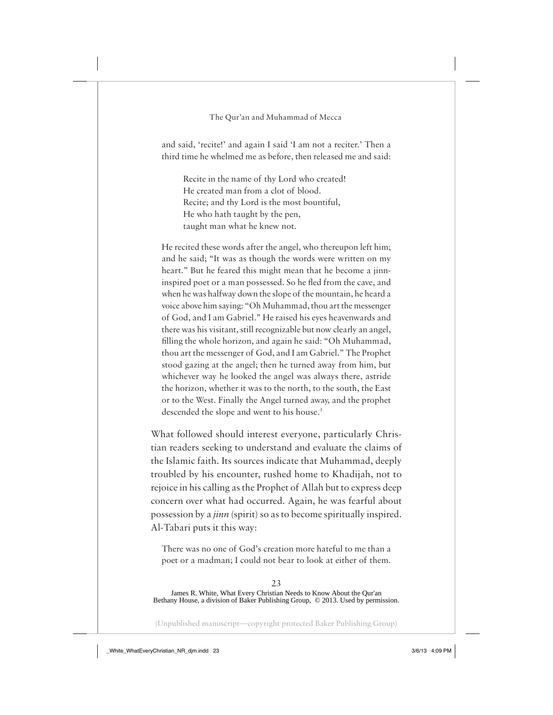and said, 'recite!' and again I said 'I am not a reciter.' Then a third time he whelmed me as before, then released me and said:

Recite in the name of thy Lord who created! He created man from a clot of blood. Recite; and thy Lord is the most bountiful, He who hath taught by the pen, taught man what he knew not.

He recited these words after the angel, who thereupon left him; and he said; "It was as though the words were written on my heart." But he feared this might mean that he become a jinninspired poet or a man possessed. So he fled from the cave, and when he was halfway down the slope of the mountain, he heard a voice above him saying: "Oh Muhammad, thou art the messenger of God, and I am Gabriel." He raised his eyes heavenwards and there was his visitant, still recognizable but now clearly an angel, filling the whole horizon, and again he said: "Oh Muhammad, thou art the messenger of God, and I am Gabriel." The Prophet stood gazing at the angel; then he turned away from him, but whichever way he looked the angel was always there, astride the horizon, whether it was to the north, to the south, the East or to the West. Finally the Angel turned away, and the prophet descended the slope and went to his house.<sup>3</sup>

What followed should interest everyone, particularly Christian readers seeking to understand and evaluate the claims of the Islamic faith. Its sources indicate that Muhammad, deeply troubled by his encounter, rushed home to Khadijah, not to rejoice in his calling as the Prophet of Allah but to express deep concern over what had occurred. Again, he was fearful about possession by a *jinn* (spirit) so as to become spiritually inspired. Al-Tabari puts it this way:

There was no one of God's creation more hateful to me than a poet or a madman; I could not bear to look at either of them.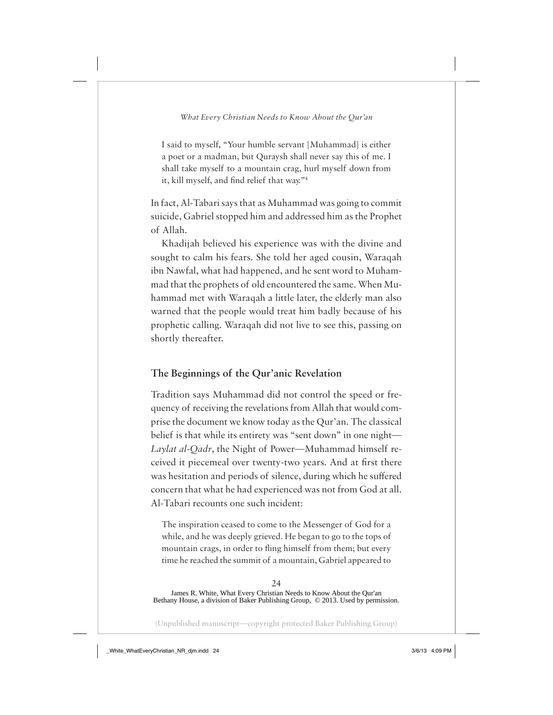I said to myself, "Your humble servant [Muhammad] is either a poet or a madman, but Quraysh shall never say this of me. I shall take myself to a mountain crag, hurl myself down from it, kill myself, and find relief that way."<sup>4</sup>

In fact, Al-Tabari says that as Muhammad was going to commit suicide, Gabriel stopped him and addressed him as the Prophet of Allah.

Khadijah believed his experience was with the divine and sought to calm his fears. She told her aged cousin, Waraqah ibn Nawfal, what had happened, and he sent word to Muhammad that the prophets of old encountered the same. When Muhammad met with Waraqah a little later, the elderly man also warned that the people would treat him badly because of his prophetic calling. Waraqah did not live to see this, passing on shortly thereafter.

# **The Beginnings of the Qur'anic Revelation**

Tradition says Muhammad did not control the speed or frequency of receiving the revelations from Allah that would comprise the document we know today as the Qur'an. The classical belief is that while its entirety was "sent down" in one night— *Laylat al-Qadr*, the Night of Power—Muhammad himself received it piecemeal over twenty-two years. And at first there was hesitation and periods of silence, during which he suffered concern that what he had experienced was not from God at all. Al-Tabari recounts one such incident:

The inspiration ceased to come to the Messenger of God for a while, and he was deeply grieved. He began to go to the tops of mountain crags, in order to fling himself from them; but every time he reached the summit of a mountain, Gabriel appeared to

James R. White, What Every Christian Needs to Know About the Qur'an Bethany House, a division of Baker Publishing Group, © 2013. Used by permission.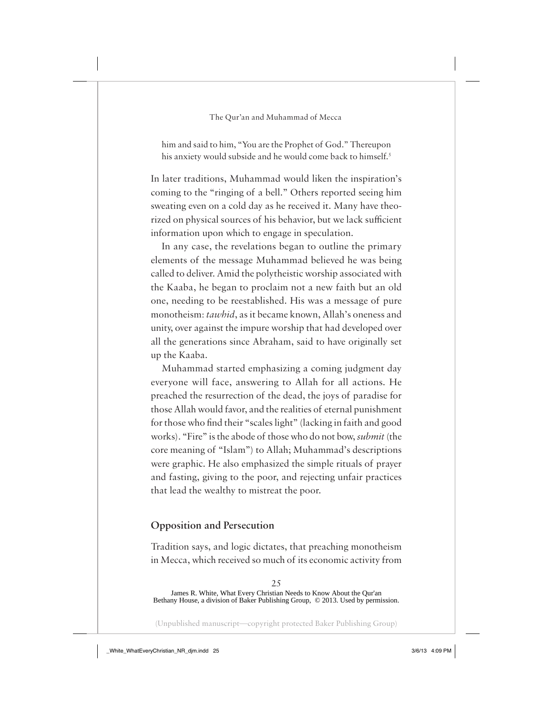him and said to him, "You are the Prophet of God." Thereupon his anxiety would subside and he would come back to himself.<sup>5</sup>

In later traditions, Muhammad would liken the inspiration's coming to the "ringing of a bell." Others reported seeing him sweating even on a cold day as he received it. Many have theorized on physical sources of his behavior, but we lack sufficient information upon which to engage in speculation.

In any case, the revelations began to outline the primary elements of the message Muhammad believed he was being called to deliver. Amid the polytheistic worship associated with the Kaaba, he began to proclaim not a new faith but an old one, needing to be reestablished. His was a message of pure monotheism: *tawhid*, as it became known, Allah's oneness and unity, over against the impure worship that had developed over all the generations since Abraham, said to have originally set up the Kaaba.

Muhammad started emphasizing a coming judgment day everyone will face, answering to Allah for all actions. He preached the resurrection of the dead, the joys of paradise for those Allah would favor, and the realities of eternal punishment for those who find their "scales light" (lacking in faith and good works). "Fire" is the abode of those who do not bow, *submit* (the core meaning of "Islam") to Allah; Muhammad's descriptions were graphic. He also emphasized the simple rituals of prayer and fasting, giving to the poor, and rejecting unfair practices that lead the wealthy to mistreat the poor.

### **Opposition and Persecution**

Tradition says, and logic dictates, that preaching monotheism in Mecca, which received so much of its economic activity from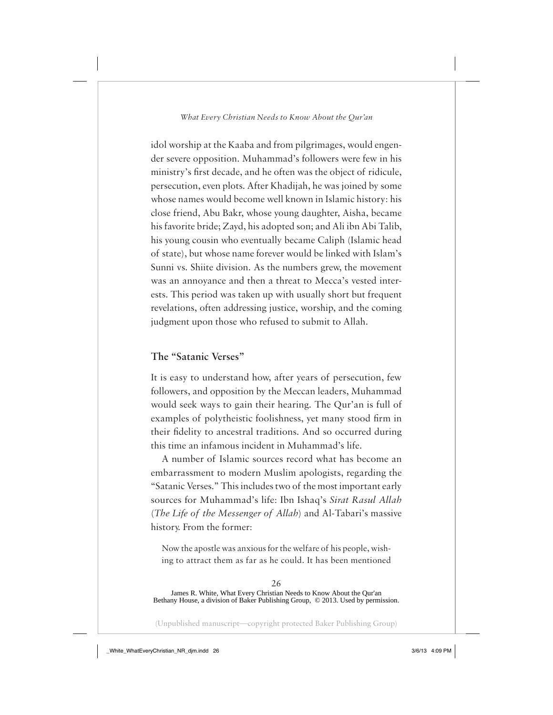idol worship at the Kaaba and from pilgrimages, would engender severe opposition. Muhammad's followers were few in his ministry's first decade, and he often was the object of ridicule, persecution, even plots. After Khadijah, he was joined by some whose names would become well known in Islamic history: his close friend, Abu Bakr, whose young daughter, Aisha, became his favorite bride; Zayd, his adopted son; and Ali ibn Abi Talib, his young cousin who eventually became Caliph (Islamic head of state), but whose name forever would be linked with Islam's Sunni vs. Shiite division. As the numbers grew, the movement was an annoyance and then a threat to Mecca's vested interests. This period was taken up with usually short but frequent revelations, often addressing justice, worship, and the coming judgment upon those who refused to submit to Allah.

# **The "Satanic Verses"**

It is easy to understand how, after years of persecution, few followers, and opposition by the Meccan leaders, Muhammad would seek ways to gain their hearing. The Qur'an is full of examples of polytheistic foolishness, yet many stood firm in their fidelity to ancestral traditions. And so occurred during this time an infamous incident in Muhammad's life.

A number of Islamic sources record what has become an embarrassment to modern Muslim apologists, regarding the "Satanic Verses." This includes two of the most important early sources for Muhammad's life: Ibn Ishaq's *Sirat Rasul Allah* (*The Life of the Messenger of Allah*) and Al-Tabari's massive history. From the former:

Now the apostle was anxious for the welfare of his people, wishing to attract them as far as he could. It has been mentioned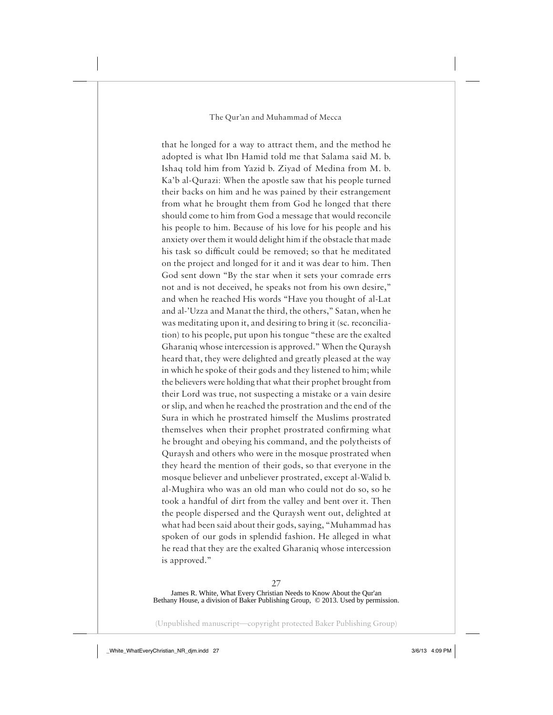that he longed for a way to attract them, and the method he adopted is what Ibn Hamid told me that Salama said M. b. Ishaq told him from Yazid b. Ziyad of Medina from M. b. Ka'b al-Qurazi: When the apostle saw that his people turned their backs on him and he was pained by their estrangement from what he brought them from God he longed that there should come to him from God a message that would reconcile his people to him. Because of his love for his people and his anxiety over them it would delight him if the obstacle that made his task so difficult could be removed; so that he meditated on the project and longed for it and it was dear to him. Then God sent down "By the star when it sets your comrade errs not and is not deceived, he speaks not from his own desire," and when he reached His words "Have you thought of al-Lat and al-'Uzza and Manat the third, the others," Satan, when he was meditating upon it, and desiring to bring it (sc. reconciliation) to his people, put upon his tongue "these are the exalted Gharaniq whose intercession is approved." When the Quraysh heard that, they were delighted and greatly pleased at the way in which he spoke of their gods and they listened to him; while the believers were holding that what their prophet brought from their Lord was true, not suspecting a mistake or a vain desire or slip, and when he reached the prostration and the end of the Sura in which he prostrated himself the Muslims prostrated themselves when their prophet prostrated confirming what he brought and obeying his command, and the polytheists of Quraysh and others who were in the mosque prostrated when they heard the mention of their gods, so that everyone in the mosque believer and unbeliever prostrated, except al-Walid b. al-Mughira who was an old man who could not do so, so he took a handful of dirt from the valley and bent over it. Then the people dispersed and the Quraysh went out, delighted at what had been said about their gods, saying, "Muhammad has spoken of our gods in splendid fashion. He alleged in what he read that they are the exalted Gharaniq whose intercession is approved."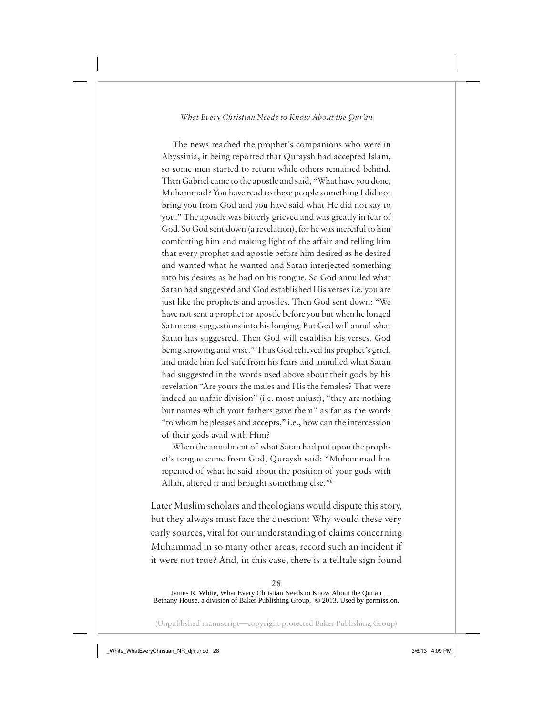The news reached the prophet's companions who were in Abyssinia, it being reported that Quraysh had accepted Islam, so some men started to return while others remained behind. Then Gabriel came to the apostle and said, "What have you done, Muhammad? You have read to these people something I did not bring you from God and you have said what He did not say to you." The apostle was bitterly grieved and was greatly in fear of God. So God sent down (a revelation), for he was merciful to him comforting him and making light of the affair and telling him that every prophet and apostle before him desired as he desired and wanted what he wanted and Satan interjected something into his desires as he had on his tongue. So God annulled what Satan had suggested and God established His verses i.e. you are just like the prophets and apostles. Then God sent down: "We have not sent a prophet or apostle before you but when he longed Satan cast suggestions into his longing. But God will annul what Satan has suggested. Then God will establish his verses, God being knowing and wise." Thus God relieved his prophet's grief, and made him feel safe from his fears and annulled what Satan had suggested in the words used above about their gods by his revelation "Are yours the males and His the females? That were indeed an unfair division" (i.e. most unjust); "they are nothing but names which your fathers gave them" as far as the words "to whom he pleases and accepts," i.e., how can the intercession of their gods avail with Him?

When the annulment of what Satan had put upon the prophet's tongue came from God, Quraysh said: "Muhammad has repented of what he said about the position of your gods with Allah, altered it and brought something else."<sup>6</sup>

Later Muslim scholars and theologians would dispute this story, but they always must face the question: Why would these very early sources, vital for our understanding of claims concerning Muhammad in so many other areas, record such an incident if it were not true? And, in this case, there is a telltale sign found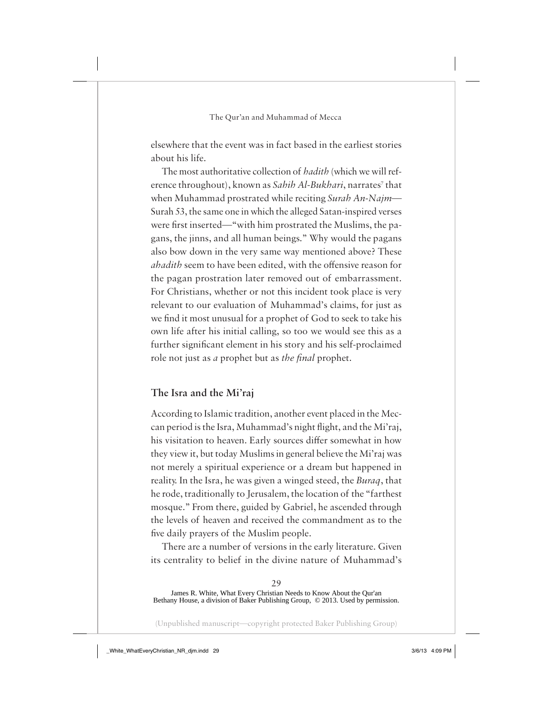elsewhere that the event was in fact based in the earliest stories about his life.

The most authoritative collection of *hadith* (which we will reference throughout), known as Sahih Al-Bukhari, narrates<sup>7</sup> that when Muhammad prostrated while reciting *Surah An-Najm*— Surah 53, the same one in which the alleged Satan-inspired verses were first inserted—"with him prostrated the Muslims, the pagans, the jinns, and all human beings." Why would the pagans also bow down in the very same way mentioned above? These *ahadith* seem to have been edited, with the offensive reason for the pagan prostration later removed out of embarrassment. For Christians, whether or not this incident took place is very relevant to our evaluation of Muhammad's claims, for just as we find it most unusual for a prophet of God to seek to take his own life after his initial calling, so too we would see this as a further significant element in his story and his self-proclaimed role not just as *a* prophet but as *the final* prophet.

# **The Isra and the Mi'raj**

According to Islamic tradition, another event placed in the Meccan period is the Isra, Muhammad's night flight, and the Mi'raj, his visitation to heaven. Early sources differ somewhat in how they view it, but today Muslims in general believe the Mi'raj was not merely a spiritual experience or a dream but happened in reality. In the Isra, he was given a winged steed, the *Buraq*, that he rode, traditionally to Jerusalem, the location of the "farthest mosque." From there, guided by Gabriel, he ascended through the levels of heaven and received the commandment as to the five daily prayers of the Muslim people.

There are a number of versions in the early literature. Given its centrality to belief in the divine nature of Muhammad's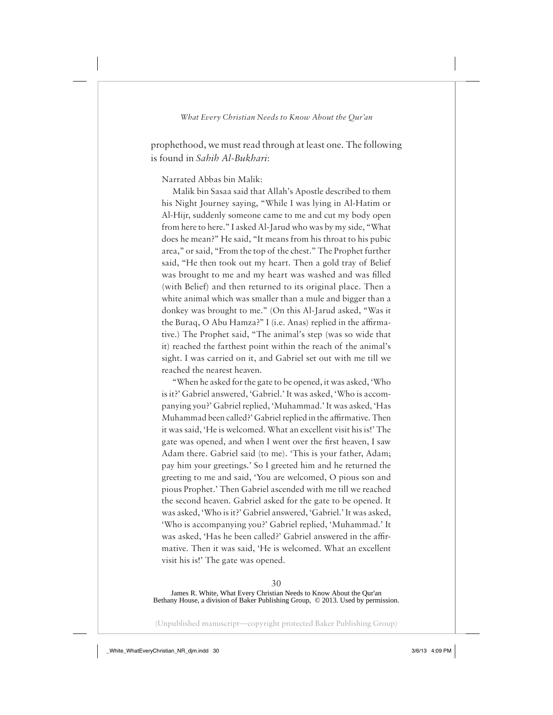prophethood, we must read through at least one. The following is found in *Sahih Al-Bukhari*:

Narrated Abbas bin Malik:

Malik bin Sasaa said that Allah's Apostle described to them his Night Journey saying, "While I was lying in Al-Hatim or Al-Hijr, suddenly someone came to me and cut my body open from here to here." I asked Al-Jarud who was by my side, "What does he mean?" He said, "It means from his throat to his pubic area," or said, "From the top of the chest." The Prophet further said, "He then took out my heart. Then a gold tray of Belief was brought to me and my heart was washed and was filled (with Belief) and then returned to its original place. Then a white animal which was smaller than a mule and bigger than a donkey was brought to me." (On this Al-Jarud asked, "Was it the Buraq, O Abu Hamza?" I (i.e. Anas) replied in the affirmative.) The Prophet said, "The animal's step (was so wide that it) reached the farthest point within the reach of the animal's sight. I was carried on it, and Gabriel set out with me till we reached the nearest heaven.

"When he asked for the gate to be opened, it was asked, 'Who is it?' Gabriel answered, 'Gabriel.' It was asked, 'Who is accompanying you?' Gabriel replied, 'Muhammad.' It was asked, 'Has Muhammad been called?' Gabriel replied in the affirmative. Then it was said, 'He is welcomed. What an excellent visit his is!' The gate was opened, and when I went over the first heaven, I saw Adam there. Gabriel said (to me). 'This is your father, Adam; pay him your greetings.' So I greeted him and he returned the greeting to me and said, 'You are welcomed, O pious son and pious Prophet.' Then Gabriel ascended with me till we reached the second heaven. Gabriel asked for the gate to be opened. It was asked, 'Who is it?' Gabriel answered, 'Gabriel.' It was asked, 'Who is accompanying you?' Gabriel replied, 'Muhammad.' It was asked, 'Has he been called?' Gabriel answered in the affirmative. Then it was said, 'He is welcomed. What an excellent visit his is!' The gate was opened.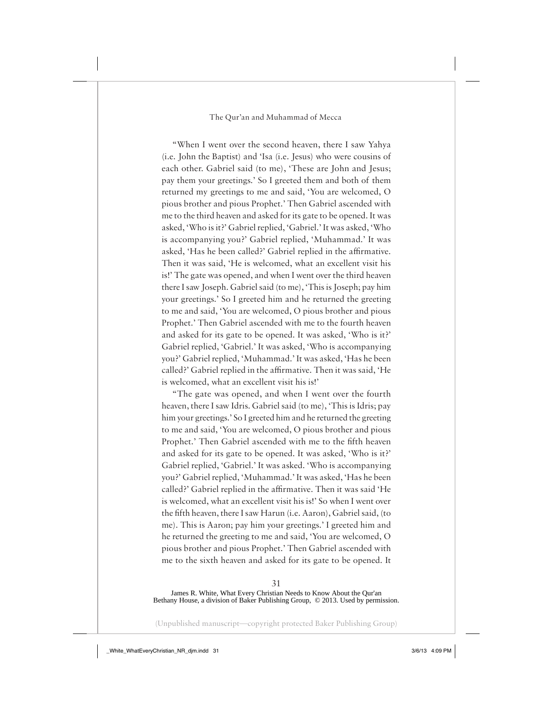"When I went over the second heaven, there I saw Yahya (i.e. John the Baptist) and 'Isa (i.e. Jesus) who were cousins of each other. Gabriel said (to me), 'These are John and Jesus; pay them your greetings.' So I greeted them and both of them returned my greetings to me and said, 'You are welcomed, O pious brother and pious Prophet.' Then Gabriel ascended with me to the third heaven and asked for its gate to be opened. It was asked, 'Who is it?' Gabriel replied, 'Gabriel.' It was asked, 'Who is accompanying you?' Gabriel replied, 'Muhammad.' It was asked, 'Has he been called?' Gabriel replied in the affirmative. Then it was said, 'He is welcomed, what an excellent visit his is!' The gate was opened, and when I went over the third heaven there I saw Joseph. Gabriel said (to me), 'This is Joseph; pay him your greetings.' So I greeted him and he returned the greeting to me and said, 'You are welcomed, O pious brother and pious Prophet.' Then Gabriel ascended with me to the fourth heaven and asked for its gate to be opened. It was asked, 'Who is it?' Gabriel replied, 'Gabriel.' It was asked, 'Who is accompanying you?' Gabriel replied, 'Muhammad.' It was asked, 'Has he been called?' Gabriel replied in the affirmative. Then it was said, 'He is welcomed, what an excellent visit his is!'

"The gate was opened, and when I went over the fourth heaven, there I saw Idris. Gabriel said (to me), 'This is Idris; pay him your greetings.' So I greeted him and he returned the greeting to me and said, 'You are welcomed, O pious brother and pious Prophet.' Then Gabriel ascended with me to the fifth heaven and asked for its gate to be opened. It was asked, 'Who is it?' Gabriel replied, 'Gabriel.' It was asked. 'Who is accompanying you?' Gabriel replied, 'Muhammad.' It was asked, 'Has he been called?' Gabriel replied in the affirmative. Then it was said 'He is welcomed, what an excellent visit his is!' So when I went over the fifth heaven, there I saw Harun (i.e. Aaron), Gabriel said, (to me). This is Aaron; pay him your greetings.' I greeted him and he returned the greeting to me and said, 'You are welcomed, O pious brother and pious Prophet.' Then Gabriel ascended with me to the sixth heaven and asked for its gate to be opened. It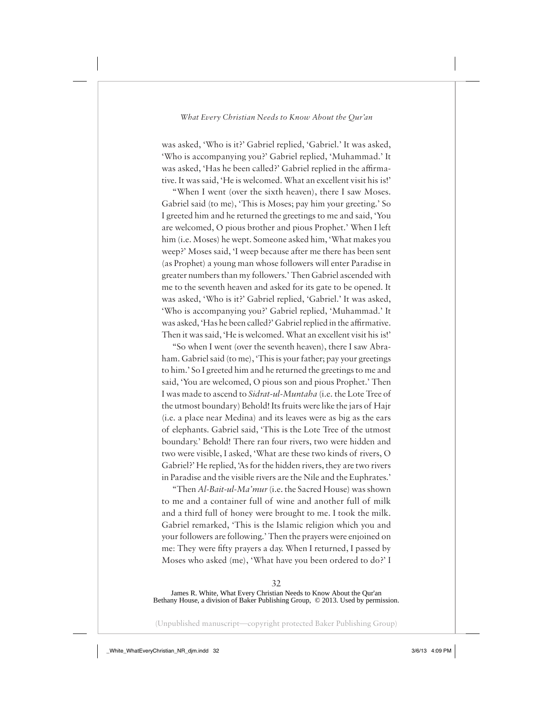was asked, 'Who is it?' Gabriel replied, 'Gabriel.' It was asked, 'Who is accompanying you?' Gabriel replied, 'Muhammad.' It was asked, 'Has he been called?' Gabriel replied in the affirmative. It was said, 'He is welcomed. What an excellent visit his is!'

"When I went (over the sixth heaven), there I saw Moses. Gabriel said (to me), 'This is Moses; pay him your greeting.' So I greeted him and he returned the greetings to me and said, 'You are welcomed, O pious brother and pious Prophet.' When I left him (i.e. Moses) he wept. Someone asked him, 'What makes you weep?' Moses said, 'I weep because after me there has been sent (as Prophet) a young man whose followers will enter Paradise in greater numbers than my followers.' Then Gabriel ascended with me to the seventh heaven and asked for its gate to be opened. It was asked, 'Who is it?' Gabriel replied, 'Gabriel.' It was asked, 'Who is accompanying you?' Gabriel replied, 'Muhammad.' It was asked, 'Has he been called?' Gabriel replied in the affirmative. Then it was said, 'He is welcomed. What an excellent visit his is!'

"So when I went (over the seventh heaven), there I saw Abraham. Gabriel said (to me), 'This is your father; pay your greetings to him.' So I greeted him and he returned the greetings to me and said, 'You are welcomed, O pious son and pious Prophet.' Then I was made to ascend to *Sidrat-ul-Muntaha* (i.e. the Lote Tree of the utmost boundary) Behold! Its fruits were like the jars of Hajr (i.e. a place near Medina) and its leaves were as big as the ears of elephants. Gabriel said, 'This is the Lote Tree of the utmost boundary.' Behold! There ran four rivers, two were hidden and two were visible, I asked, 'What are these two kinds of rivers, O Gabriel?' He replied, 'As for the hidden rivers, they are two rivers in Paradise and the visible rivers are the Nile and the Euphrates.'

"Then *Al-Bait-ul-Ma'mur* (i.e. the Sacred House) was shown to me and a container full of wine and another full of milk and a third full of honey were brought to me. I took the milk. Gabriel remarked, 'This is the Islamic religion which you and your followers are following.' Then the prayers were enjoined on me: They were fifty prayers a day. When I returned, I passed by Moses who asked (me), 'What have you been ordered to do?' I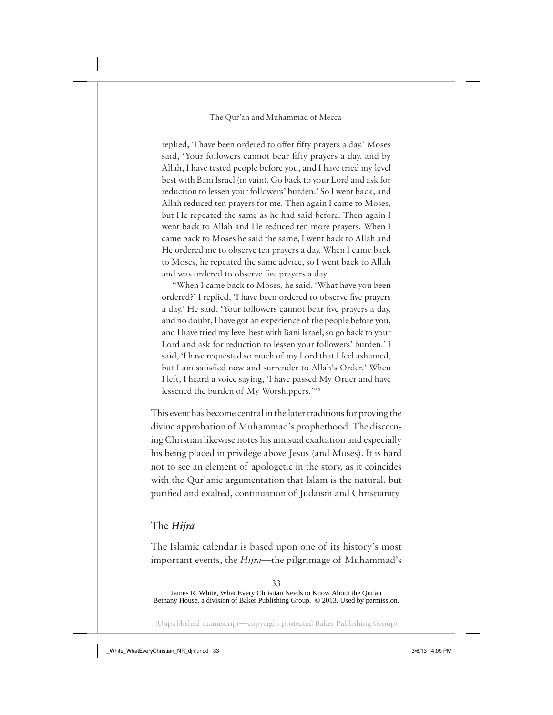replied, 'I have been ordered to offer fifty prayers a day.' Moses said, 'Your followers cannot bear fifty prayers a day, and by Allah, I have tested people before you, and I have tried my level best with Bani Israel (in vain). Go back to your Lord and ask for reduction to lessen your followers' burden.' So I went back, and Allah reduced ten prayers for me. Then again I came to Moses, but He repeated the same as he had said before. Then again I went back to Allah and He reduced ten more prayers. When I came back to Moses he said the same, I went back to Allah and He ordered me to observe ten prayers a day. When I came back to Moses, he repeated the same advice, so I went back to Allah and was ordered to observe five prayers a day.

"When I came back to Moses, he said, 'What have you been ordered?' I replied, 'I have been ordered to observe five prayers a day.' He said, 'Your followers cannot bear five prayers a day, and no doubt, I have got an experience of the people before you, and I have tried my level best with Bani Israel, so go back to your Lord and ask for reduction to lessen your followers' burden.' I said, 'I have requested so much of my Lord that I feel ashamed, but I am satisfied now and surrender to Allah's Order.' When I left, I heard a voice saying, 'I have passed My Order and have lessened the burden of My Worshippers.'"<sup>8</sup>

This event has become central in the later traditions for proving the divine approbation of Muhammad's prophethood. The discerning Christian likewise notes his unusual exaltation and especially his being placed in privilege above Jesus (and Moses). It is hard not to see an element of apologetic in the story, as it coincides with the Qur'anic argumentation that Islam is the natural, but purified and exalted, continuation of Judaism and Christianity.

# **The Hijra**

The Islamic calendar is based upon one of its history's most important events, the *Hijra*—the pilgrimage of Muhammad's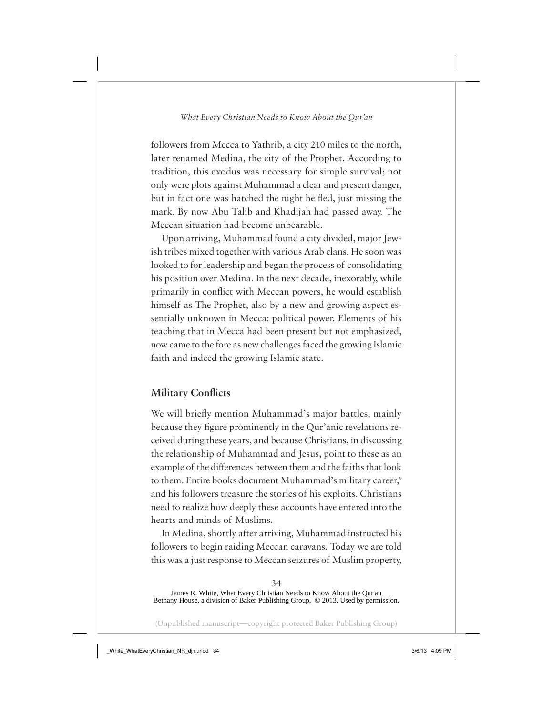followers from Mecca to Yathrib, a city 210 miles to the north, later renamed Medina, the city of the Prophet. According to tradition, this exodus was necessary for simple survival; not only were plots against Muhammad a clear and present danger, but in fact one was hatched the night he fled, just missing the mark. By now Abu Talib and Khadijah had passed away. The Meccan situation had become unbearable.

Upon arriving, Muhammad found a city divided, major Jewish tribes mixed together with various Arab clans. He soon was looked to for leadership and began the process of consolidating his position over Medina. In the next decade, inexorably, while primarily in conflict with Meccan powers, he would establish himself as The Prophet, also by a new and growing aspect essentially unknown in Mecca: political power. Elements of his teaching that in Mecca had been present but not emphasized, now came to the fore as new challenges faced the growing Islamic faith and indeed the growing Islamic state.

# **Military Conflicts**

We will briefly mention Muhammad's major battles, mainly because they figure prominently in the Qur'anic revelations received during these years, and because Christians, in discussing the relationship of Muhammad and Jesus, point to these as an example of the differences between them and the faiths that look to them. Entire books document Muhammad's military career,<sup>9</sup> and his followers treasure the stories of his exploits. Christians need to realize how deeply these accounts have entered into the hearts and minds of Muslims.

In Medina, shortly after arriving, Muhammad instructed his followers to begin raiding Meccan caravans. Today we are told this was a just response to Meccan seizures of Muslim property,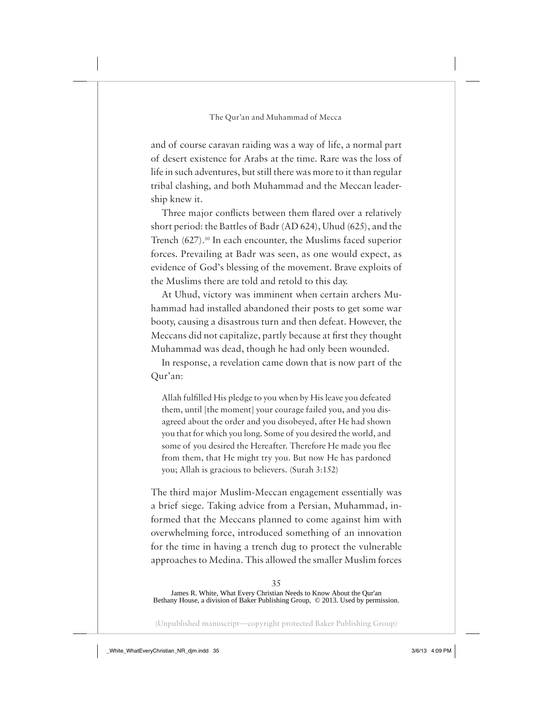and of course caravan raiding was a way of life, a normal part of desert existence for Arabs at the time. Rare was the loss of life in such adventures, but still there was more to it than regular tribal clashing, and both Muhammad and the Meccan leadership knew it.

Three major conflicts between them flared over a relatively short period: the Battles of Badr (AD 624), Uhud (625), and the Trench (627).<sup>10</sup> In each encounter, the Muslims faced superior forces. Prevailing at Badr was seen, as one would expect, as evidence of God's blessing of the movement. Brave exploits of the Muslims there are told and retold to this day.

At Uhud, victory was imminent when certain archers Muhammad had installed abandoned their posts to get some war booty, causing a disastrous turn and then defeat. However, the Meccans did not capitalize, partly because at first they thought Muhammad was dead, though he had only been wounded.

In response, a revelation came down that is now part of the Qur'an:

Allah fulfilled His pledge to you when by His leave you defeated them, until [the moment] your courage failed you, and you disagreed about the order and you disobeyed, after He had shown you that for which you long. Some of you desired the world, and some of you desired the Hereafter. Therefore He made you flee from them, that He might try you. But now He has pardoned you; Allah is gracious to believers. (Surah 3:152)

The third major Muslim-Meccan engagement essentially was a brief siege. Taking advice from a Persian, Muhammad, informed that the Meccans planned to come against him with overwhelming force, introduced something of an innovation for the time in having a trench dug to protect the vulnerable approaches to Medina. This allowed the smaller Muslim forces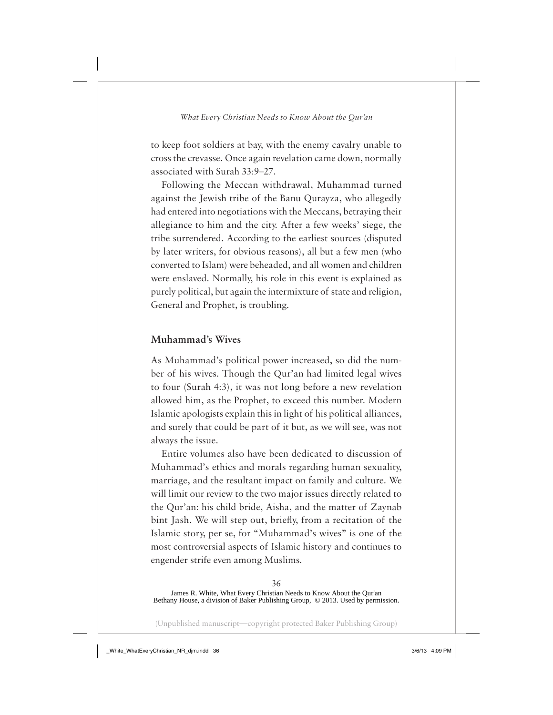to keep foot soldiers at bay, with the enemy cavalry unable to cross the crevasse. Once again revelation came down, normally associated with Surah 33:9–27.

Following the Meccan withdrawal, Muhammad turned against the Jewish tribe of the Banu Qurayza, who allegedly had entered into negotiations with the Meccans, betraying their allegiance to him and the city. After a few weeks' siege, the tribe surrendered. According to the earliest sources (disputed by later writers, for obvious reasons), all but a few men (who converted to Islam) were beheaded, and all women and children were enslaved. Normally, his role in this event is explained as purely political, but again the intermixture of state and religion, General and Prophet, is troubling.

### **Muhammad's Wives**

As Muhammad's political power increased, so did the number of his wives. Though the Qur'an had limited legal wives to four (Surah 4:3), it was not long before a new revelation allowed him, as the Prophet, to exceed this number. Modern Islamic apologists explain this in light of his political alliances, and surely that could be part of it but, as we will see, was not always the issue.

Entire volumes also have been dedicated to discussion of Muhammad's ethics and morals regarding human sexuality, marriage, and the resultant impact on family and culture. We will limit our review to the two major issues directly related to the Qur'an: his child bride, Aisha, and the matter of Zaynab bint Jash. We will step out, briefly, from a recitation of the Islamic story, per se, for "Muhammad's wives" is one of the most controversial aspects of Islamic history and continues to engender strife even among Muslims.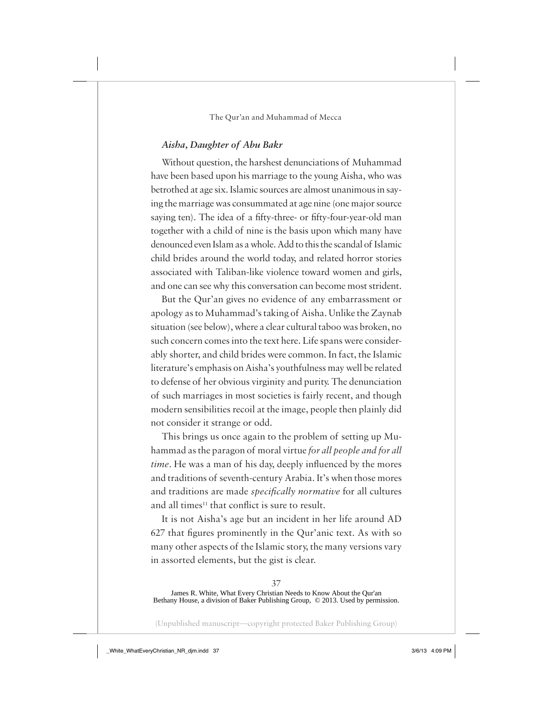### **Aisha, Daughter of Abu Bakr**

Without question, the harshest denunciations of Muhammad have been based upon his marriage to the young Aisha, who was betrothed at age six. Islamic sources are almost unanimous in saying the marriage was consummated at age nine (one major source saying ten). The idea of a fifty-three- or fifty-four-year-old man together with a child of nine is the basis upon which many have denounced even Islam as a whole. Add to this the scandal of Islamic child brides around the world today, and related horror stories associated with Taliban-like violence toward women and girls, and one can see why this conversation can become most strident.

But the Qur'an gives no evidence of any embarrassment or apology as to Muhammad's taking of Aisha. Unlike the Zaynab situation (see below), where a clear cultural taboo was broken, no such concern comes into the text here. Life spans were considerably shorter, and child brides were common. In fact, the Islamic literature's emphasis on Aisha's youthfulness may well be related to defense of her obvious virginity and purity. The denunciation of such marriages in most societies is fairly recent, and though modern sensibilities recoil at the image, people then plainly did not consider it strange or odd.

This brings us once again to the problem of setting up Muhammad as the paragon of moral virtue *for all people and for all time*. He was a man of his day, deeply influenced by the mores and traditions of seventh-century Arabia. It's when those mores and traditions are made *specifically normative* for all cultures and all times<sup>11</sup> that conflict is sure to result.

It is not Aisha's age but an incident in her life around AD 627 that figures prominently in the Qur'anic text. As with so many other aspects of the Islamic story, the many versions vary in assorted elements, but the gist is clear.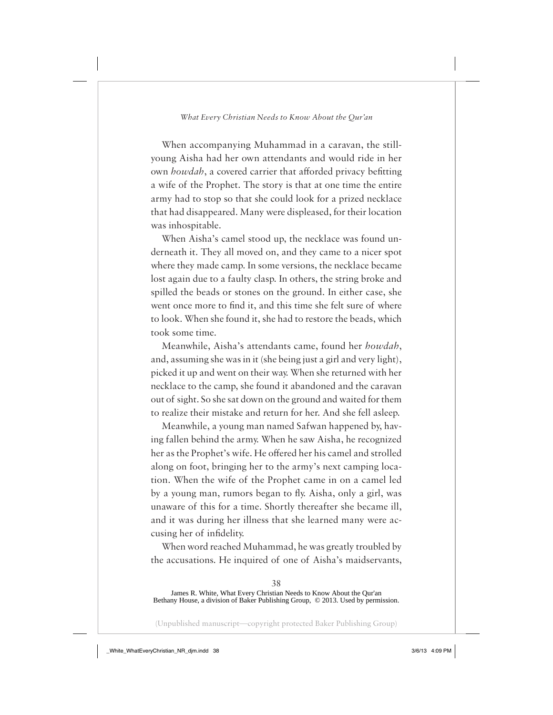When accompanying Muhammad in a caravan, the stillyoung Aisha had her own attendants and would ride in her own *howdah*, a covered carrier that afforded privacy befitting a wife of the Prophet. The story is that at one time the entire army had to stop so that she could look for a prized necklace that had disappeared. Many were displeased, for their location was inhospitable.

When Aisha's camel stood up, the necklace was found underneath it. They all moved on, and they came to a nicer spot where they made camp. In some versions, the necklace became lost again due to a faulty clasp. In others, the string broke and spilled the beads or stones on the ground. In either case, she went once more to find it, and this time she felt sure of where to look. When she found it, she had to restore the beads, which took some time.

Meanwhile, Aisha's attendants came, found her *howdah*, and, assuming she was in it (she being just a girl and very light), picked it up and went on their way. When she returned with her necklace to the camp, she found it abandoned and the caravan out of sight. So she sat down on the ground and waited for them to realize their mistake and return for her. And she fell asleep.

Meanwhile, a young man named Safwan happened by, having fallen behind the army. When he saw Aisha, he recognized her as the Prophet's wife. He offered her his camel and strolled along on foot, bringing her to the army's next camping location. When the wife of the Prophet came in on a camel led by a young man, rumors began to fly. Aisha, only a girl, was unaware of this for a time. Shortly thereafter she became ill, and it was during her illness that she learned many were accusing her of infidelity.

When word reached Muhammad, he was greatly troubled by the accusations. He inquired of one of Aisha's maidservants,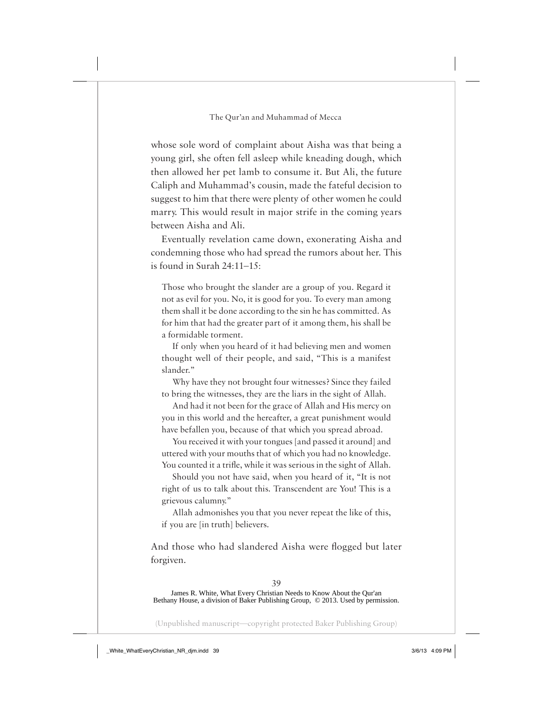whose sole word of complaint about Aisha was that being a young girl, she often fell asleep while kneading dough, which then allowed her pet lamb to consume it. But Ali, the future Caliph and Muhammad's cousin, made the fateful decision to suggest to him that there were plenty of other women he could marry. This would result in major strife in the coming years between Aisha and Ali.

Eventually revelation came down, exonerating Aisha and condemning those who had spread the rumors about her. This is found in Surah 24:11–15:

Those who brought the slander are a group of you. Regard it not as evil for you. No, it is good for you. To every man among them shall it be done according to the sin he has committed. As for him that had the greater part of it among them, his shall be a formidable torment.

If only when you heard of it had believing men and women thought well of their people, and said, "This is a manifest slander."

Why have they not brought four witnesses? Since they failed to bring the witnesses, they are the liars in the sight of Allah.

And had it not been for the grace of Allah and His mercy on you in this world and the hereafter, a great punishment would have befallen you, because of that which you spread abroad.

You received it with your tongues [and passed it around] and uttered with your mouths that of which you had no knowledge. You counted it a trifle, while it was serious in the sight of Allah.

Should you not have said, when you heard of it, "It is not right of us to talk about this. Transcendent are You! This is a grievous calumny."

Allah admonishes you that you never repeat the like of this, if you are [in truth] believers.

And those who had slandered Aisha were flogged but later forgiven.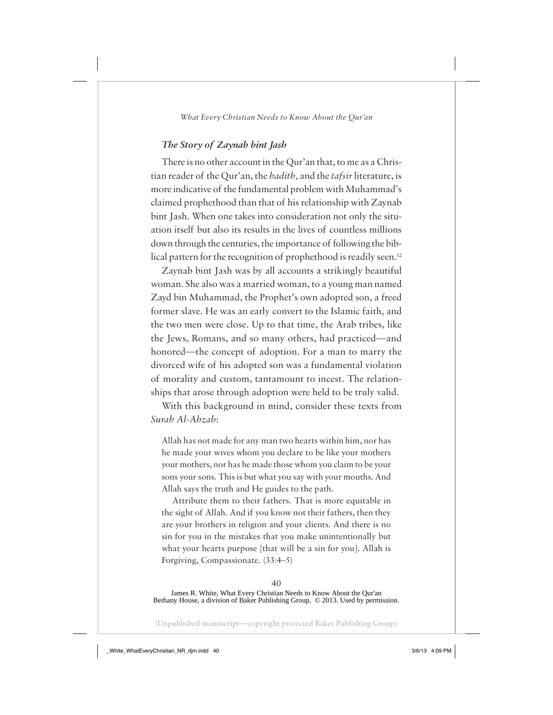### **The Story of Zaynab bint Jash**

There is no other account in the Qur'an that, to me as a Christian reader of the Qur'an, the *hadith,* and the *tafsir* literature, is more indicative of the fundamental problem with Muhammad's claimed prophethood than that of his relationship with Zaynab bint Jash. When one takes into consideration not only the situation itself but also its results in the lives of countless millions down through the centuries, the importance of following the biblical pattern for the recognition of prophethood is readily seen.<sup>12</sup>

Zaynab bint Jash was by all accounts a strikingly beautiful woman. She also was a married woman, to a young man named Zayd bin Muhammad, the Prophet's own adopted son, a freed former slave. He was an early convert to the Islamic faith, and the two men were close. Up to that time, the Arab tribes, like the Jews, Romans, and so many others, had practiced—and honored—the concept of adoption. For a man to marry the divorced wife of his adopted son was a fundamental violation of morality and custom, tantamount to incest. The relationships that arose through adoption were held to be truly valid.

With this background in mind, consider these texts from *Surah Al-Ahzab*:

Allah has not made for any man two hearts within him, nor has he made your wives whom you declare to be like your mothers your mothers, nor has he made those whom you claim to be your sons your sons. This is but what you say with your mouths. And Allah says the truth and He guides to the path.

Attribute them to their fathers. That is more equitable in the sight of Allah. And if you know not their fathers, then they are your brothers in religion and your clients. And there is no sin for you in the mistakes that you make unintentionally but what your hearts purpose [that will be a sin for you]. Allah is Forgiving, Compassionate. (33:4–5)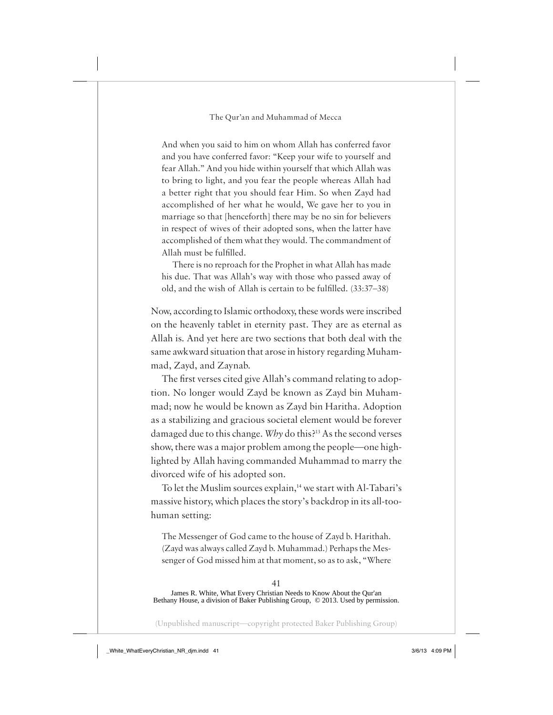And when you said to him on whom Allah has conferred favor and you have conferred favor: "Keep your wife to yourself and fear Allah." And you hide within yourself that which Allah was to bring to light, and you fear the people whereas Allah had a better right that you should fear Him. So when Zayd had accomplished of her what he would, We gave her to you in marriage so that [henceforth] there may be no sin for believers in respect of wives of their adopted sons, when the latter have accomplished of them what they would. The commandment of Allah must be fulfilled.

There is no reproach for the Prophet in what Allah has made his due. That was Allah's way with those who passed away of old, and the wish of Allah is certain to be fulfilled. (33:37–38)

Now, according to Islamic orthodoxy, these words were inscribed on the heavenly tablet in eternity past. They are as eternal as Allah is. And yet here are two sections that both deal with the same awkward situation that arose in history regarding Muhammad, Zayd, and Zaynab.

The first verses cited give Allah's command relating to adoption. No longer would Zayd be known as Zayd bin Muhammad; now he would be known as Zayd bin Haritha. Adoption as a stabilizing and gracious societal element would be forever damaged due to this change. *Why* do this?13 As the second verses show, there was a major problem among the people—one highlighted by Allah having commanded Muhammad to marry the divorced wife of his adopted son.

To let the Muslim sources explain,<sup>14</sup> we start with Al-Tabari's massive history, which places the story's backdrop in its all-toohuman setting:

The Messenger of God came to the house of Zayd b. Harithah. (Zayd was always called Zayd b. Muhammad.) Perhaps the Messenger of God missed him at that moment, so as to ask, "Where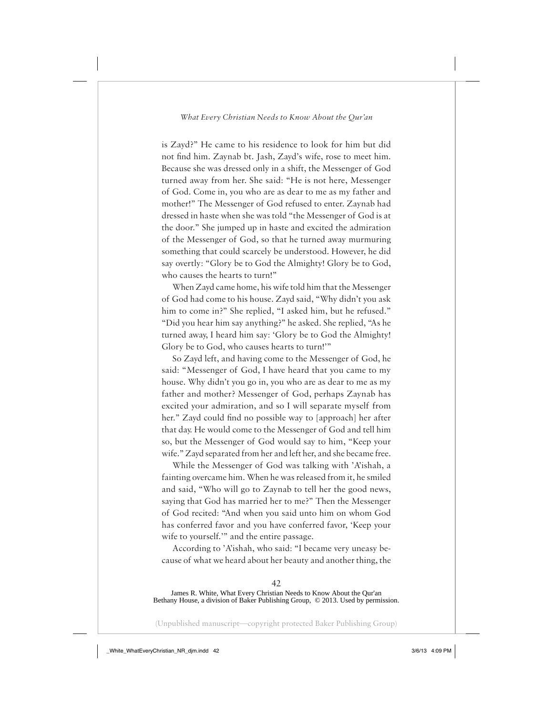is Zayd?" He came to his residence to look for him but did not find him. Zaynab bt. Jash, Zayd's wife, rose to meet him. Because she was dressed only in a shift, the Messenger of God turned away from her. She said: "He is not here, Messenger of God. Come in, you who are as dear to me as my father and mother!" The Messenger of God refused to enter. Zaynab had dressed in haste when she was told "the Messenger of God is at the door." She jumped up in haste and excited the admiration of the Messenger of God, so that he turned away murmuring something that could scarcely be understood. However, he did say overtly: "Glory be to God the Almighty! Glory be to God, who causes the hearts to turn!"

When Zayd came home, his wife told him that the Messenger of God had come to his house. Zayd said, "Why didn't you ask him to come in?" She replied, "I asked him, but he refused." "Did you hear him say anything?" he asked. She replied, "As he turned away, I heard him say: 'Glory be to God the Almighty! Glory be to God, who causes hearts to turn!'"

So Zayd left, and having come to the Messenger of God, he said: "Messenger of God, I have heard that you came to my house. Why didn't you go in, you who are as dear to me as my father and mother? Messenger of God, perhaps Zaynab has excited your admiration, and so I will separate myself from her." Zayd could find no possible way to [approach] her after that day. He would come to the Messenger of God and tell him so, but the Messenger of God would say to him, "Keep your wife." Zayd separated from her and left her, and she became free.

While the Messenger of God was talking with 'A'ishah, a fainting overcame him. When he was released from it, he smiled and said, "Who will go to Zaynab to tell her the good news, saying that God has married her to me?" Then the Messenger of God recited: "And when you said unto him on whom God has conferred favor and you have conferred favor, 'Keep your wife to yourself.'" and the entire passage.

According to 'A'ishah, who said: "I became very uneasy because of what we heard about her beauty and another thing, the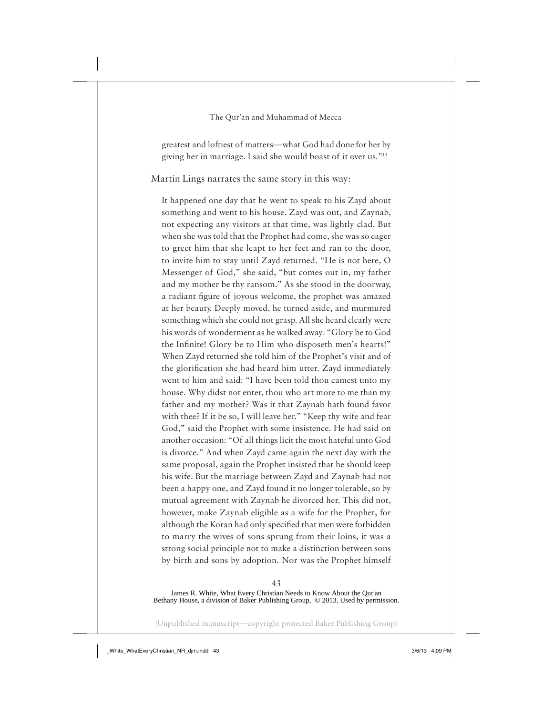greatest and loftiest of matters—what God had done for her by giving her in marriage. I said she would boast of it over us."<sup>15</sup>

Martin Lings narrates the same story in this way:

It happened one day that he went to speak to his Zayd about something and went to his house. Zayd was out, and Zaynab, not expecting any visitors at that time, was lightly clad. But when she was told that the Prophet had come, she was so eager to greet him that she leapt to her feet and ran to the door, to invite him to stay until Zayd returned. "He is not here, O Messenger of God," she said, "but comes out in, my father and my mother be thy ransom." As she stood in the doorway, a radiant figure of joyous welcome, the prophet was amazed at her beauty. Deeply moved, he turned aside, and murmured something which she could not grasp. All she heard clearly were his words of wonderment as he walked away: "Glory be to God the Infinite! Glory be to Him who disposeth men's hearts!" When Zayd returned she told him of the Prophet's visit and of the glorification she had heard him utter. Zayd immediately went to him and said: "I have been told thou camest unto my house. Why didst not enter, thou who art more to me than my father and my mother? Was it that Zaynab hath found favor with thee? If it be so, I will leave her." "Keep thy wife and fear God," said the Prophet with some insistence. He had said on another occasion: "Of all things licit the most hateful unto God is divorce." And when Zayd came again the next day with the same proposal, again the Prophet insisted that he should keep his wife. But the marriage between Zayd and Zaynab had not been a happy one, and Zayd found it no longer tolerable, so by mutual agreement with Zaynab he divorced her. This did not, however, make Zaynab eligible as a wife for the Prophet, for although the Koran had only specified that men were forbidden to marry the wives of sons sprung from their loins, it was a strong social principle not to make a distinction between sons by birth and sons by adoption. Nor was the Prophet himself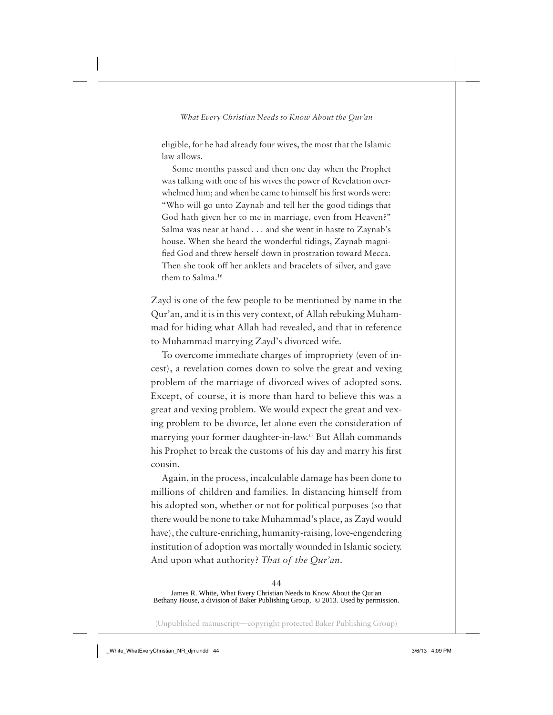eligible, for he had already four wives, the most that the Islamic law allows.

Some months passed and then one day when the Prophet was talking with one of his wives the power of Revelation overwhelmed him; and when he came to himself his first words were: "Who will go unto Zaynab and tell her the good tidings that God hath given her to me in marriage, even from Heaven?" Salma was near at hand . . . and she went in haste to Zaynab's house. When she heard the wonderful tidings, Zaynab magnified God and threw herself down in prostration toward Mecca. Then she took off her anklets and bracelets of silver, and gave them to Salma.<sup>16</sup>

Zayd is one of the few people to be mentioned by name in the Qur'an, and it is in this very context, of Allah rebuking Muhammad for hiding what Allah had revealed, and that in reference to Muhammad marrying Zayd's divorced wife.

To overcome immediate charges of impropriety (even of incest), a revelation comes down to solve the great and vexing problem of the marriage of divorced wives of adopted sons. Except, of course, it is more than hard to believe this was a great and vexing problem. We would expect the great and vexing problem to be divorce, let alone even the consideration of marrying your former daughter-in-law.17 But Allah commands his Prophet to break the customs of his day and marry his first cousin.

Again, in the process, incalculable damage has been done to millions of children and families. In distancing himself from his adopted son, whether or not for political purposes (so that there would be none to take Muhammad's place, as Zayd would have), the culture-enriching, humanity-raising, love-engendering institution of adoption was mortally wounded in Islamic society. And upon what authority? *That of the Qur'an.*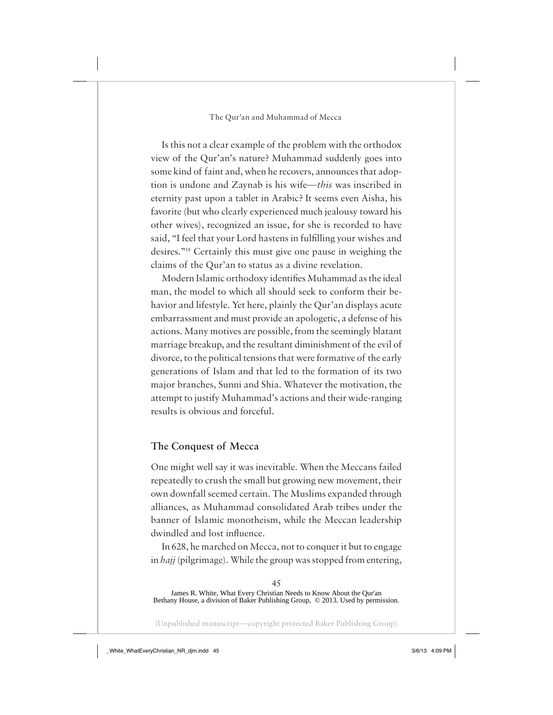Is this not a clear example of the problem with the orthodox view of the Qur'an's nature? Muhammad suddenly goes into some kind of faint and, when he recovers, announces that adoption is undone and Zaynab is his wife—*this* was inscribed in eternity past upon a tablet in Arabic? It seems even Aisha, his favorite (but who clearly experienced much jealousy toward his other wives), recognized an issue, for she is recorded to have said, "I feel that your Lord hastens in fulfilling your wishes and desires."18 Certainly this must give one pause in weighing the claims of the Qur'an to status as a divine revelation.

Modern Islamic orthodoxy identifies Muhammad as the ideal man, the model to which all should seek to conform their behavior and lifestyle. Yet here, plainly the Qur'an displays acute embarrassment and must provide an apologetic, a defense of his actions. Many motives are possible, from the seemingly blatant marriage breakup, and the resultant diminishment of the evil of divorce, to the political tensions that were formative of the early generations of Islam and that led to the formation of its two major branches, Sunni and Shia. Whatever the motivation, the attempt to justify Muhammad's actions and their wide-ranging results is obvious and forceful.

# **The Conquest of Mecca**

One might well say it was inevitable. When the Meccans failed repeatedly to crush the small but growing new movement, their own downfall seemed certain. The Muslims expanded through alliances, as Muhammad consolidated Arab tribes under the banner of Islamic monotheism, while the Meccan leadership dwindled and lost influence.

In 628, he marched on Mecca, not to conquer it but to engage in *hajj* (pilgrimage). While the group was stopped from entering,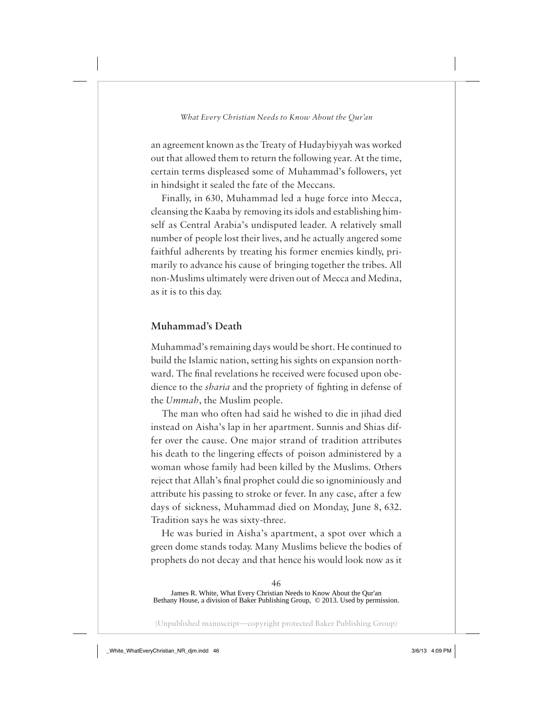an agreement known as the Treaty of Hudaybiyyah was worked out that allowed them to return the following year. At the time, certain terms displeased some of Muhammad's followers, yet in hindsight it sealed the fate of the Meccans.

Finally, in 630, Muhammad led a huge force into Mecca, cleansing the Kaaba by removing its idols and establishing himself as Central Arabia's undisputed leader. A relatively small number of people lost their lives, and he actually angered some faithful adherents by treating his former enemies kindly, primarily to advance his cause of bringing together the tribes. All non-Muslims ultimately were driven out of Mecca and Medina, as it is to this day.

# **Muhammad's Death**

Muhammad's remaining days would be short. He continued to build the Islamic nation, setting his sights on expansion northward. The final revelations he received were focused upon obedience to the *sharia* and the propriety of fighting in defense of the *Ummah*, the Muslim people.

The man who often had said he wished to die in jihad died instead on Aisha's lap in her apartment. Sunnis and Shias differ over the cause. One major strand of tradition attributes his death to the lingering effects of poison administered by a woman whose family had been killed by the Muslims. Others reject that Allah's final prophet could die so ignominiously and attribute his passing to stroke or fever. In any case, after a few days of sickness, Muhammad died on Monday, June 8, 632. Tradition says he was sixty-three.

He was buried in Aisha's apartment, a spot over which a green dome stands today. Many Muslims believe the bodies of prophets do not decay and that hence his would look now as it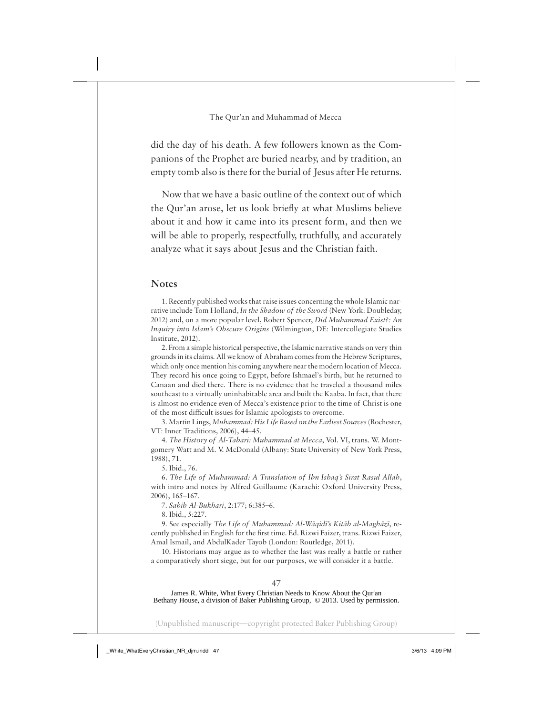did the day of his death. A few followers known as the Companions of the Prophet are buried nearby, and by tradition, an empty tomb also is there for the burial of Jesus after He returns.

Now that we have a basic outline of the context out of which the Qur'an arose, let us look briefly at what Muslims believe about it and how it came into its present form, and then we will be able to properly, respectfully, truthfully, and accurately analyze what it says about Jesus and the Christian faith.

#### **Notes**

1. Recently published works that raise issues concerning the whole Islamic narrative include Tom Holland, *In the Shadow of the Sword* (New York: Doubleday, 2012) and, on a more popular level, Robert Spencer, *Did Muhammad Exist?: An Inquiry into Islam's Obscure Origins* (Wilmington, DE: Intercollegiate Studies Institute, 2012).

2. From a simple historical perspective, the Islamic narrative stands on very thin grounds in its claims. All we know of Abraham comes from the Hebrew Scriptures, which only once mention his coming anywhere near the modern location of Mecca. They record his once going to Egypt, before Ishmael's birth, but he returned to Canaan and died there. There is no evidence that he traveled a thousand miles southeast to a virtually uninhabitable area and built the Kaaba. In fact, that there is almost no evidence even of Mecca's existence prior to the time of Christ is one of the most difficult issues for Islamic apologists to overcome.

3. Martin Lings, *Muhammad: His Life Based on the Earliest Sources* (Rochester, VT: Inner Traditions, 2006), 44–45.

4. *The History of Al-Tabari: Muhammad at Mecca*, Vol. VI, trans. W. Montgomery Watt and M. V. McDonald (Albany: State University of New York Press, 1988), 71.

5. Ibid., 76.

6. *The Life of Muhammad: A Translation of Ibn Ishaq's Sirat Rasul Allah*, with intro and notes by Alfred Guillaume (Karachi: Oxford University Press, 2006), 165–167.

7. *Sahih Al-Bukhari*, 2:177; 6:385–6.

8. Ibid., 5:227.

9. See especially *The Life of Muhammad: Al-Wāqidī's Kitāb al-Maghāzī*, recently published in English for the first time. Ed. Rizwi Faizer, trans. Rizwi Faizer, Amal Ismail, and AbdulKader Tayob (London: Routledge, 2011).

10. Historians may argue as to whether the last was really a battle or rather a comparatively short siege, but for our purposes, we will consider it a battle.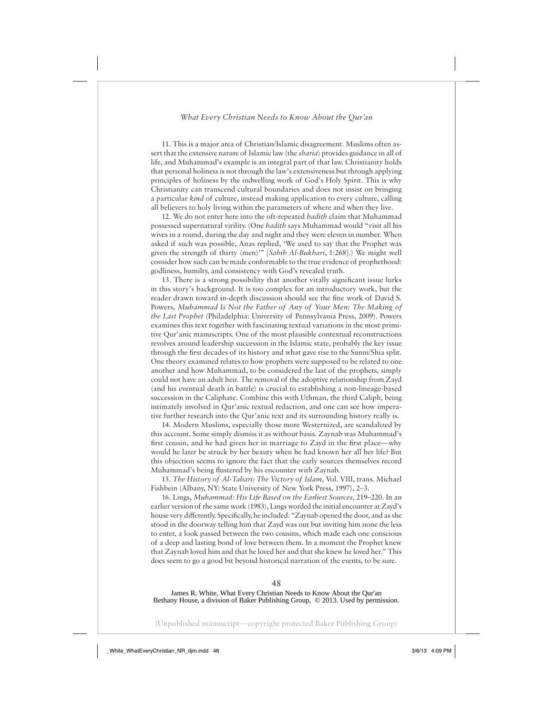11. This is a major area of Christian/Islamic disagreement. Muslims often assert that the extensive nature of Islamic law (the *sharia*) provides guidance in all of life, and Muhammad's example is an integral part of that law. Christianity holds that personal holiness is not through the law's extensiveness but through applying principles of holiness by the indwelling work of God's Holy Spirit. This is why Christianity can transcend cultural boundaries and does not insist on bringing a particular *kind* of culture, instead making application to every culture, calling all believers to holy living within the parameters of where and when they live.

12. We do not enter here into the oft-repeated *hadith* claim that Muhammad possessed supernatural virility. (One *hadith* says Muhammad would "visit all his wives in a round, during the day and night and they were eleven in number. When asked if such was possible, Anas replied, 'We used to say that the Prophet was given the strength of thirty (men)'" [*Sahih Al-Bukhari*, 1:268].) We might well consider how such can be made conformable to the true evidence of prophethood: godliness, humilty, and consistency with God's revealed truth.

13. There is a strong possibility that another vitally significant issue lurks in this story's background. It is too complex for an introductory work, but the reader drawn toward in-depth discussion should see the fine work of David S. Powers, *Muhammad Is Not the Father of Any of Your Men: The Making of the Last Prophet* (Philadelphia: University of Pennsylvania Press, 2009). Powers examines this text together with fascinating textual variations in the most primitive Qur'anic manuscripts. One of the most plausible contextual reconstructions revolves around leadership succession in the Islamic state, probably the key issue through the first decades of its history and what gave rise to the Sunni/Shia split. One theory examined relates to how prophets were supposed to be related to one another and how Muhammad, to be considered the last of the prophets, simply could not have an adult heir. The removal of the adoptive relationship from Zayd (and his eventual death in battle) is crucial to establishing a non-lineage-based succession in the Caliphate. Combine this with Uthman, the third Caliph, being intimately involved in Qur'anic textual redaction, and one can see how imperative further research into the Qur'anic text and its surrounding history really is.

14. Modern Muslims, especially those more Westernized, are scandalized by this account. Some simply dismiss it as without basis. Zaynab was Muhammad's first cousin, and he had given her in marriage to Zayd in the first place—why would he later be struck by her beauty when he had known her all her life? But this objection seems to ignore the fact that the early sources themselves record Muhammad's being flustered by his encounter with Zaynab.

15. *The History of Al-Tabari: The Victory of Islam,* Vol. VIII, trans. Michael Fishbein (Albany, NY: State University of New York Press, 1997), 2–3.

16. Lings, *Muhammad: His Life Based on the Earliest Sources*, 219–220. In an earlier version of the same work (1983), Lings worded the initial encounter at Zayd's house very differently. Specifically, he included: "Zaynab opened the door, and as she stood in the doorway telling him that Zayd was out but inviting him none the less to enter, a look passed between the two cousins, which made each one conscious of a deep and lasting bond of love between them. In a moment the Prophet knew that Zaynab loved him and that he loved her and that she knew he loved her." This does seem to go a good bit beyond historical narration of the events, to be sure.

James R. White, What Every Christian Needs to Know About the Qur'an Bethany House, a division of Baker Publishing Group, © 2013. Used by permission.